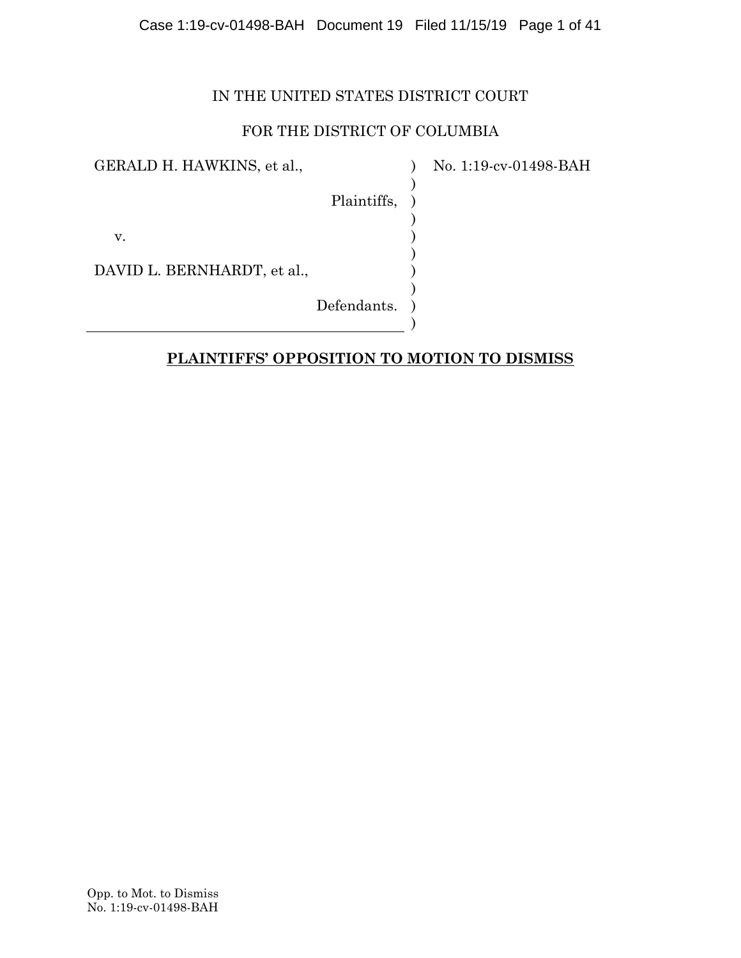## Case 1:19-cv-01498-BAH Document 19 Filed 11/15/19 Page 1 of 41

## IN THE UNITED STATES DISTRICT COURT

## FOR THE DISTRICT OF COLUMBIA

 $\lambda$ ) ) ) ) ) ) ) ) )

GERALD H. HAWKINS, et al.,

No. 1:19-cv-01498-BAH

Plaintiffs,

v.

DAVID L. BERNHARDT, et al.,

Defendants.

## **PLAINTIFFS' OPPOSITION TO MOTION TO DISMISS**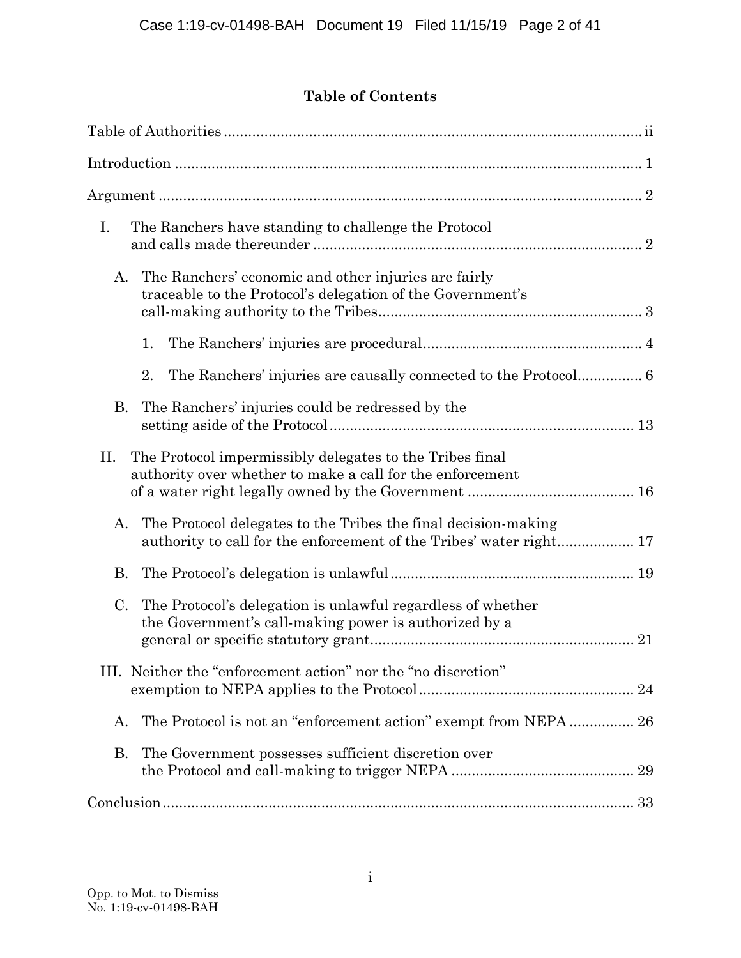# **Table of Contents**

| I.<br>The Ranchers have standing to challenge the Protocol                                                                       |
|----------------------------------------------------------------------------------------------------------------------------------|
| The Ranchers' economic and other injuries are fairly<br>А.<br>traceable to the Protocol's delegation of the Government's         |
| 1.                                                                                                                               |
| 2.                                                                                                                               |
| The Ranchers' injuries could be redressed by the<br>В.                                                                           |
| II.<br>The Protocol impermissibly delegates to the Tribes final<br>authority over whether to make a call for the enforcement     |
| The Protocol delegates to the Tribes the final decision-making<br>А.                                                             |
| B.                                                                                                                               |
| The Protocol's delegation is unlawful regardless of whether<br>C.<br>the Government's call-making power is authorized by a<br>21 |
| III. Neither the "enforcement action" nor the "no discretion"                                                                    |
| The Protocol is not an "enforcement action" exempt from NEPA 26<br>А.                                                            |
| The Government possesses sufficient discretion over<br>B.                                                                        |
|                                                                                                                                  |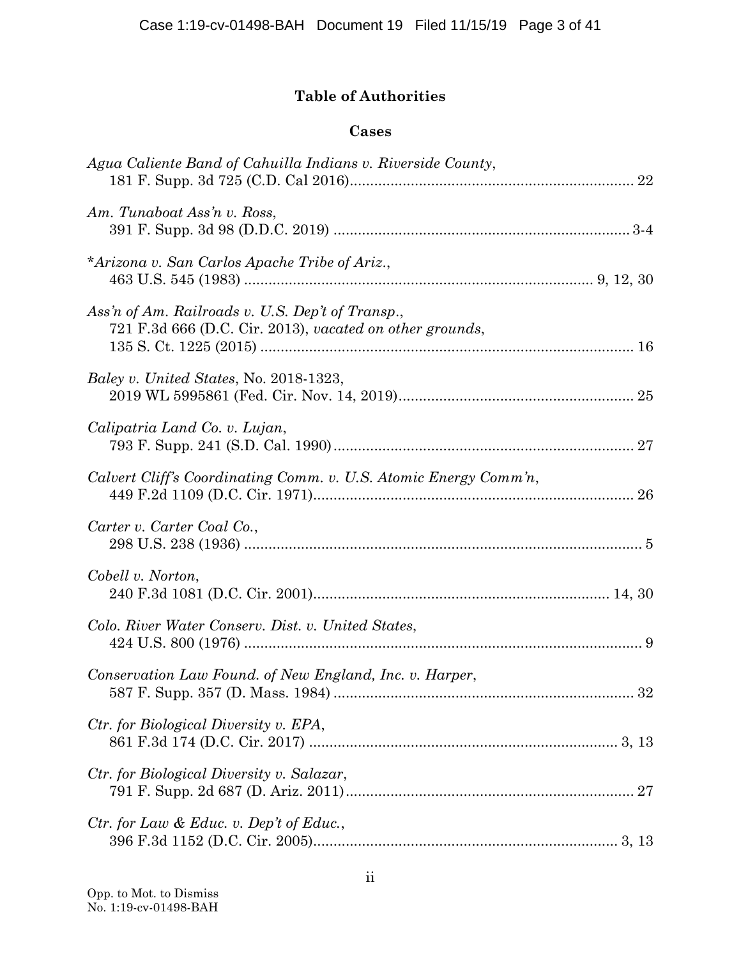# **Table of Authorities**

## **Cases**

| Agua Caliente Band of Cahuilla Indians v. Riverside County,                                                  |  |
|--------------------------------------------------------------------------------------------------------------|--|
| Am. Tunaboat Ass'n v. Ross,                                                                                  |  |
| *Arizona v. San Carlos Apache Tribe of Ariz.,                                                                |  |
| Ass'n of Am. Railroads v. U.S. Dep't of Transp.,<br>721 F.3d 666 (D.C. Cir. 2013), vacated on other grounds, |  |
| <i>Baley v. United States, No. 2018-1323,</i>                                                                |  |
| Calipatria Land Co. v. Lujan,                                                                                |  |
| Calvert Cliff's Coordinating Comm. v. U.S. Atomic Energy Comm'n,                                             |  |
| Carter v. Carter Coal Co.,                                                                                   |  |
| Cobell v. Norton,                                                                                            |  |
| Colo. River Water Conserv. Dist. v. United States,                                                           |  |
| Conservation Law Found. of New England, Inc. v. Harper,                                                      |  |
| Ctr. for Biological Diversity v. EPA,                                                                        |  |
| Ctr. for Biological Diversity v. Salazar,                                                                    |  |
| Ctr. for Law & Educ. v. Dep't of Educ.,                                                                      |  |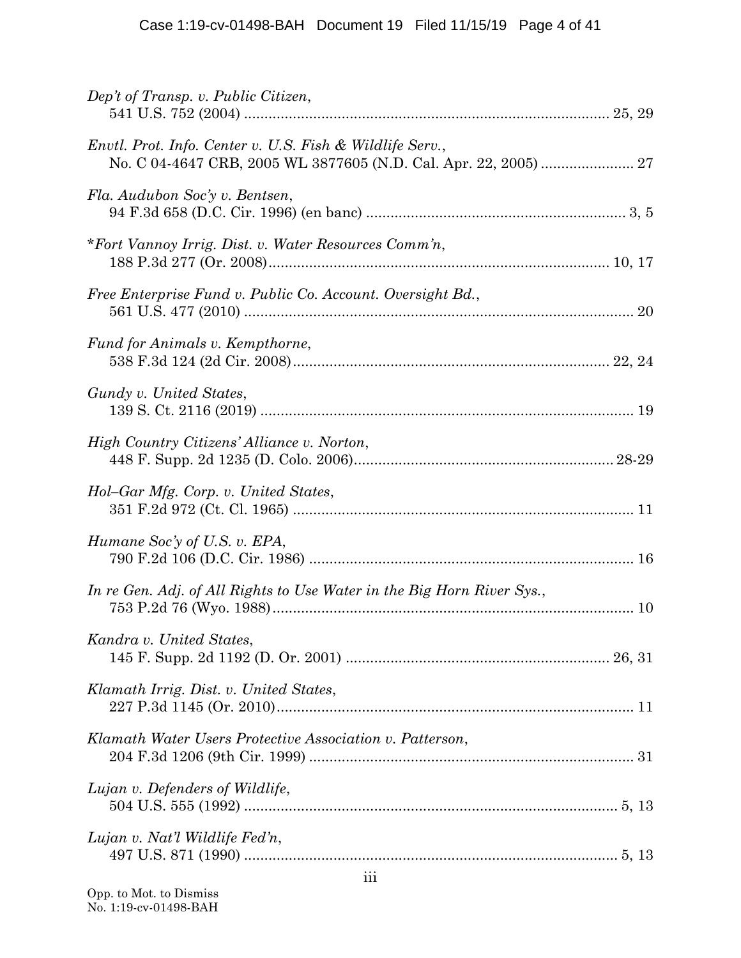| Dep't of Transp. v. Public Citizen,                                    |  |
|------------------------------------------------------------------------|--|
| Envtl. Prot. Info. Center v. U.S. Fish & Wildlife Serv.,               |  |
| Fla. Audubon Soc'y v. Bentsen,                                         |  |
| *Fort Vannoy Irrig. Dist. v. Water Resources Comm'n,                   |  |
| Free Enterprise Fund v. Public Co. Account. Oversight Bd.,             |  |
| Fund for Animals v. Kempthorne,                                        |  |
| Gundy v. United States,                                                |  |
| High Country Citizens' Alliance v. Norton,                             |  |
| Hol-Gar Mfg. Corp. v. United States,                                   |  |
| Humane Soc'y of U.S. v. EPA,                                           |  |
| In re Gen. Adj. of All Rights to Use Water in the Big Horn River Sys., |  |
| Kandra v. United States,                                               |  |
| Klamath Irrig. Dist. v. United States,                                 |  |
| Klamath Water Users Protective Association v. Patterson,               |  |
| Lujan v. Defenders of Wildlife,                                        |  |
| Lujan v. Nat'l Wildlife Fed'n,                                         |  |
|                                                                        |  |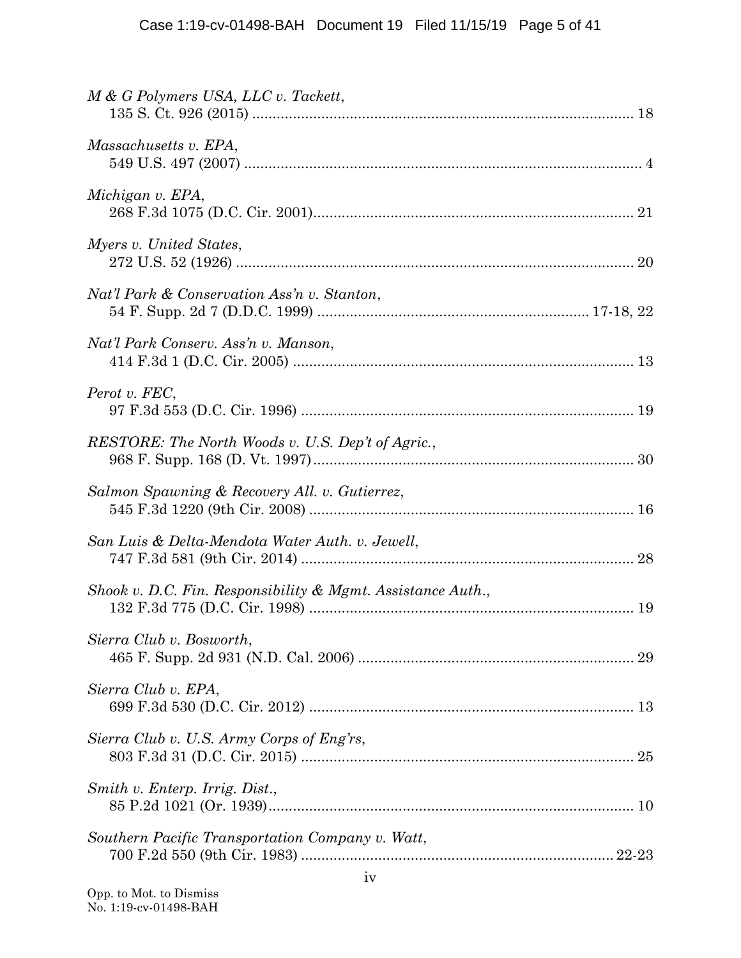| M & G Polymers USA, LLC v. Tackett,                         |
|-------------------------------------------------------------|
| Massachusetts v. EPA,                                       |
| Michigan v. EPA,                                            |
| Myers v. United States,                                     |
| Nat'l Park & Conservation Ass'n v. Stanton,                 |
| Nat'l Park Conserv. Ass'n v. Manson,                        |
| Perot v. FEC,                                               |
| RESTORE: The North Woods v. U.S. Dep't of Agric.,           |
| Salmon Spawning & Recovery All. v. Gutierrez,               |
| San Luis & Delta-Mendota Water Auth. v. Jewell,             |
| Shook v. D.C. Fin. Responsibility & Mgmt. Assistance Auth., |
| Sierra Club v. Bosworth,                                    |
| Sierra Club v. EPA,                                         |
| Sierra Club v. U.S. Army Corps of Eng'rs,                   |
| Smith v. Enterp. Irrig. Dist.,                              |
| Southern Pacific Transportation Company v. Watt,            |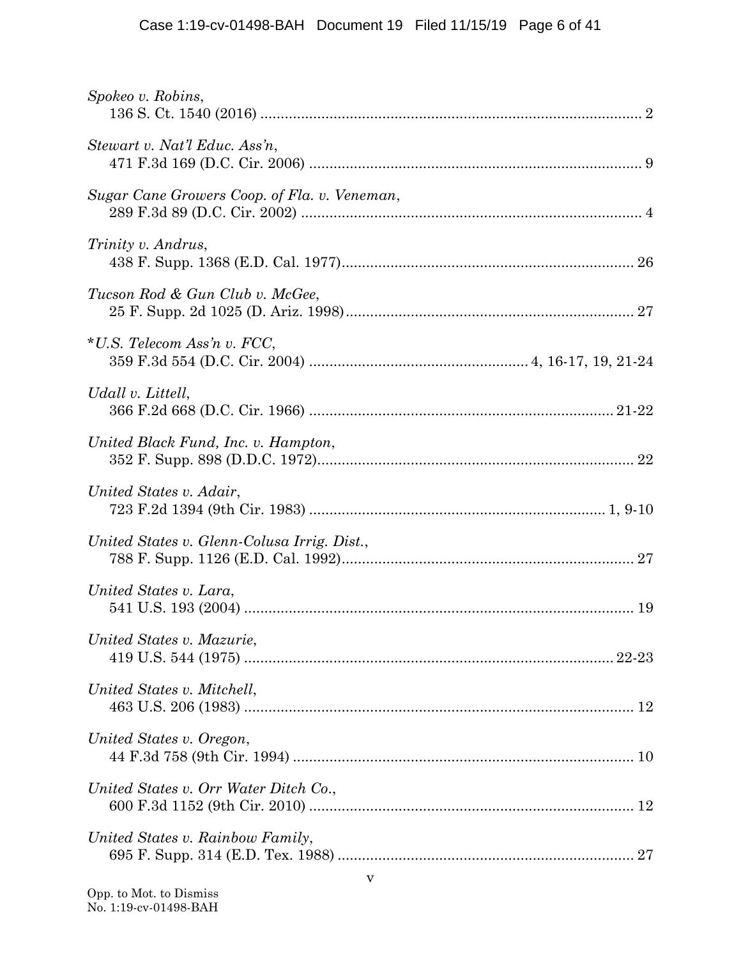| Spokeo v. Robins,                            |  |
|----------------------------------------------|--|
| Stewart v. Nat'l Educ. Ass'n,                |  |
| Sugar Cane Growers Coop. of Fla. v. Veneman, |  |
| Trinity v. Andrus,                           |  |
| Tucson Rod & Gun Club v. McGee,              |  |
| $*U.S.$ Telecom Ass'n v. FCC,                |  |
| Udall v. Littell,                            |  |
| United Black Fund, Inc. v. Hampton,          |  |
| United States v. Adair,                      |  |
| United States v. Glenn-Colusa Irrig. Dist.,  |  |
| United States v. Lara,                       |  |
| United States v. Mazurie,                    |  |
| United States v. Mitchell,                   |  |
| United States v. Oregon,                     |  |
| United States v. Orr Water Ditch Co.,        |  |
| United States v. Rainbow Family,             |  |
|                                              |  |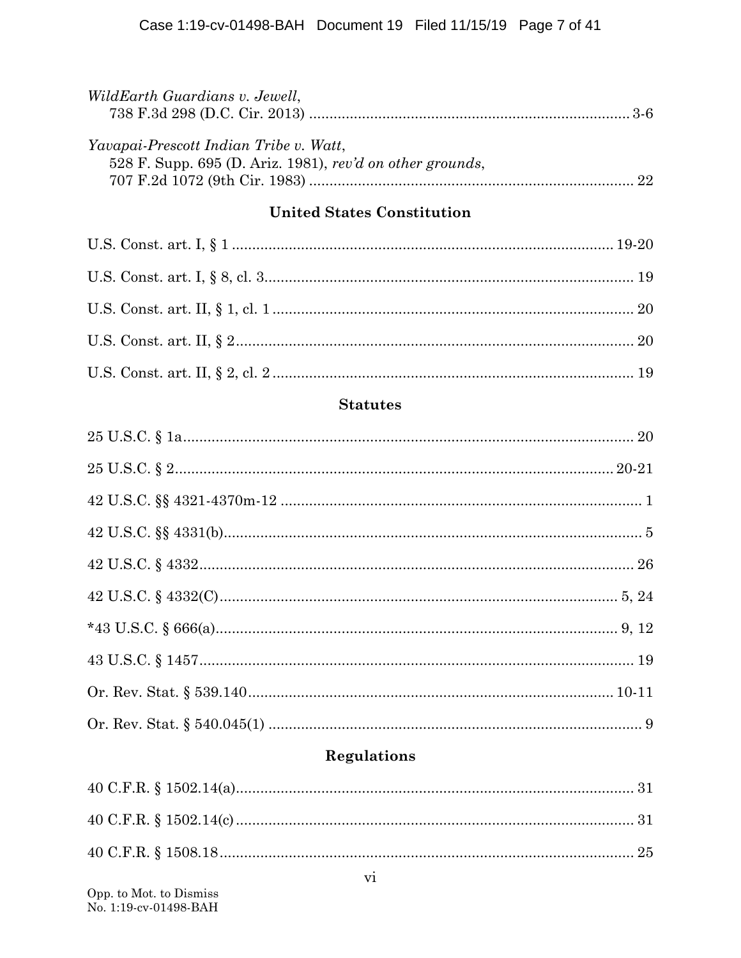| WildEarth Guardians v. Jewell,                                                                      |    |
|-----------------------------------------------------------------------------------------------------|----|
| Yavapai-Prescott Indian Tribe v. Watt,<br>528 F. Supp. 695 (D. Ariz. 1981), rev'd on other grounds, | 22 |
| <b>United States Constitution</b>                                                                   |    |

## **Statutes**

# **Regulations**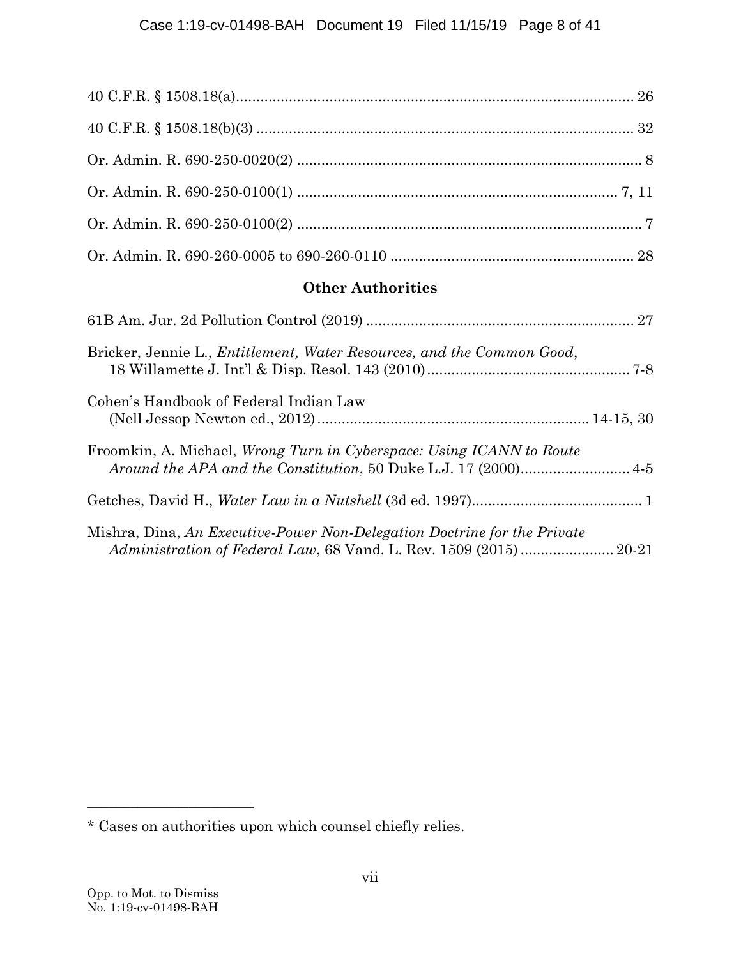| <b>Other Authorities</b>                                                      |
|-------------------------------------------------------------------------------|
|                                                                               |
| Bricker, Jennie L., <i>Entitlement, Water Resources, and the Common Good,</i> |
| Cohen's Handbook of Federal Indian Law                                        |
| Froomkin, A. Michael, <i>Wrong Turn in Cyberspace: Using ICANN to Route</i>   |

|--|--|--|--|--|

|  |  |  |  |  | Mishra, Dina, An Executive-Power Non-Delegation Doctrine for the Private |  |
|--|--|--|--|--|--------------------------------------------------------------------------|--|
|  |  |  |  |  |                                                                          |  |

**\_\_\_\_\_\_\_\_\_\_\_\_\_\_\_\_\_\_\_\_\_\_\_**

<sup>\*</sup> Cases on authorities upon which counsel chiefly relies.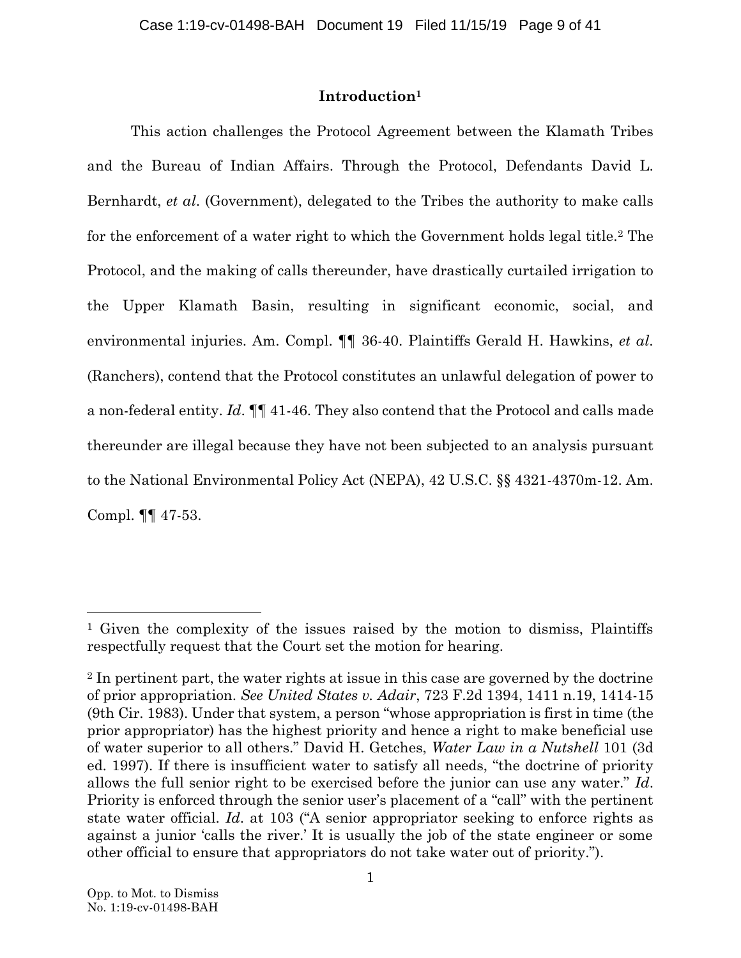## **Introduction<sup>1</sup>**

This action challenges the Protocol Agreement between the Klamath Tribes and the Bureau of Indian Affairs. Through the Protocol, Defendants David L. Bernhardt, *et al*. (Government), delegated to the Tribes the authority to make calls for the enforcement of a water right to which the Government holds legal title.<sup>2</sup> The Protocol, and the making of calls thereunder, have drastically curtailed irrigation to the Upper Klamath Basin, resulting in significant economic, social, and environmental injuries. Am. Compl. ¶¶ 36-40. Plaintiffs Gerald H. Hawkins, *et al*. (Ranchers), contend that the Protocol constitutes an unlawful delegation of power to a non-federal entity. *Id*. ¶¶ 41-46. They also contend that the Protocol and calls made thereunder are illegal because they have not been subjected to an analysis pursuant to the National Environmental Policy Act (NEPA), 42 U.S.C. §§ 4321-4370m-12. Am. Compl. ¶¶ 47-53.

<span id="page-8-1"></span><sup>1</sup> Given the complexity of the issues raised by the motion to dismiss, Plaintiffs respectfully request that the Court set the motion for hearing.

<span id="page-8-2"></span><span id="page-8-0"></span><sup>&</sup>lt;sup>2</sup> In pertinent part, the water rights at issue in this case are governed by the doctrine of prior appropriation. *See United States v. Adair*, 723 F.2d 1394, 1411 n.19, 1414-15 (9th Cir. 1983). Under that system, a person "whose appropriation is first in time (the prior appropriator) has the highest priority and hence a right to make beneficial use of water superior to all others." David H. Getches, *Water Law in a Nutshell* 101 (3d ed. 1997). If there is insufficient water to satisfy all needs, "the doctrine of priority allows the full senior right to be exercised before the junior can use any water." *Id*. Priority is enforced through the senior user's placement of a "call" with the pertinent state water official. *Id*. at 103 ("A senior appropriator seeking to enforce rights as against a junior 'calls the river.' It is usually the job of the state engineer or some other official to ensure that appropriators do not take water out of priority.").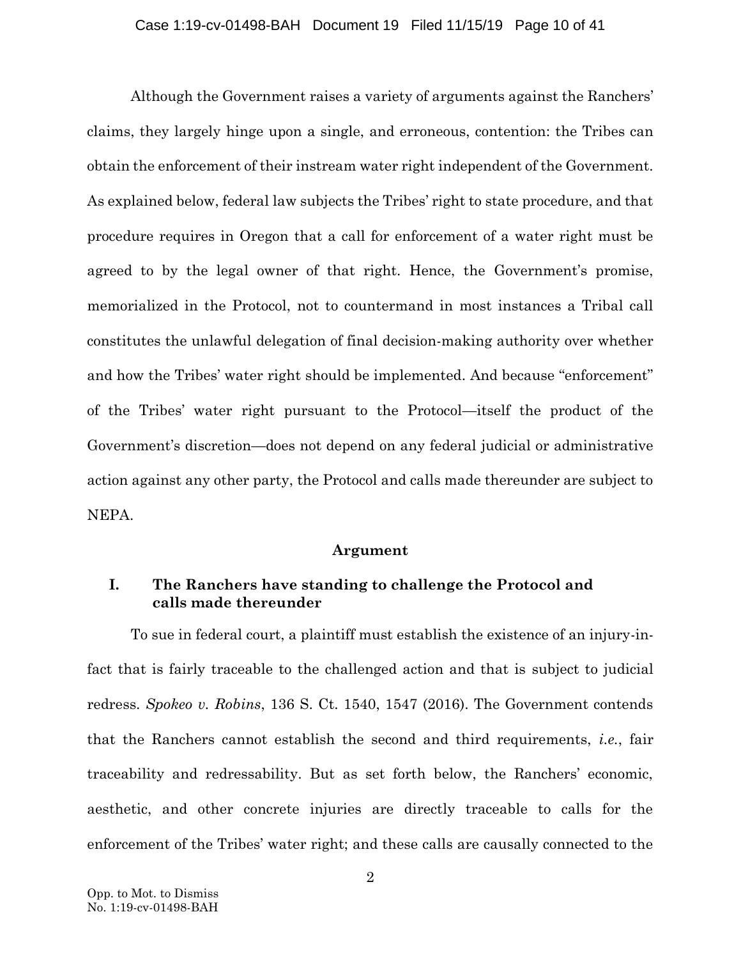### Case 1:19-cv-01498-BAH Document 19 Filed 11/15/19 Page 10 of 41

Although the Government raises a variety of arguments against the Ranchers' claims, they largely hinge upon a single, and erroneous, contention: the Tribes can obtain the enforcement of their instream water right independent of the Government. As explained below, federal law subjects the Tribes' right to state procedure, and that procedure requires in Oregon that a call for enforcement of a water right must be agreed to by the legal owner of that right. Hence, the Government's promise, memorialized in the Protocol, not to countermand in most instances a Tribal call constitutes the unlawful delegation of final decision-making authority over whether and how the Tribes' water right should be implemented. And because "enforcement" of the Tribes' water right pursuant to the Protocol—itself the product of the Government's discretion—does not depend on any federal judicial or administrative action against any other party, the Protocol and calls made thereunder are subject to NEPA.

## **Argument**

## **I. The Ranchers have standing to challenge the Protocol and calls made thereunder**

<span id="page-9-0"></span>To sue in federal court, a plaintiff must establish the existence of an injury-infact that is fairly traceable to the challenged action and that is subject to judicial redress. *Spokeo v. Robins*, 136 S. Ct. 1540, 1547 (2016). The Government contends that the Ranchers cannot establish the second and third requirements, *i.e.*, fair traceability and redressability. But as set forth below, the Ranchers' economic, aesthetic, and other concrete injuries are directly traceable to calls for the enforcement of the Tribes' water right; and these calls are causally connected to the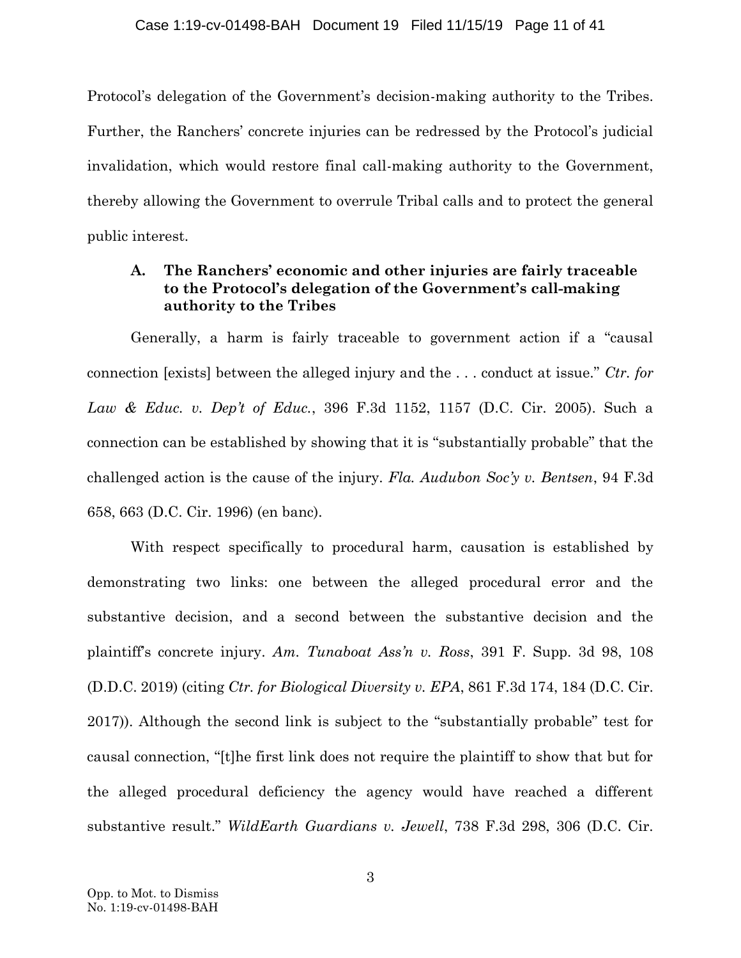Protocol's delegation of the Government's decision-making authority to the Tribes. Further, the Ranchers' concrete injuries can be redressed by the Protocol's judicial invalidation, which would restore final call-making authority to the Government, thereby allowing the Government to overrule Tribal calls and to protect the general public interest.

## <span id="page-10-2"></span>**A. The Ranchers' economic and other injuries are fairly traceable to the Protocol's delegation of the Government's call-making authority to the Tribes**

Generally, a harm is fairly traceable to government action if a "causal connection [exists] between the alleged injury and the . . . conduct at issue." *Ctr. for Law & Educ. v. Dep't of Educ.*, 396 F.3d 1152, 1157 (D.C. Cir. 2005). Such a connection can be established by showing that it is "substantially probable" that the challenged action is the cause of the injury. *Fla. Audubon Soc'y v. Bentsen*, 94 F.3d 658, 663 (D.C. Cir. 1996) (en banc).

<span id="page-10-4"></span><span id="page-10-3"></span><span id="page-10-1"></span><span id="page-10-0"></span>With respect specifically to procedural harm, causation is established by demonstrating two links: one between the alleged procedural error and the substantive decision, and a second between the substantive decision and the plaintiff's concrete injury. *Am. Tunaboat Ass'n v. Ross*, 391 F. Supp. 3d 98, 108 (D.D.C. 2019) (citing *Ctr. for Biological Diversity v. EPA*, 861 F.3d 174, 184 (D.C. Cir. 2017)). Although the second link is subject to the "substantially probable" test for causal connection, "[t]he first link does not require the plaintiff to show that but for the alleged procedural deficiency the agency would have reached a different substantive result." *WildEarth Guardians v. Jewell*, 738 F.3d 298, 306 (D.C. Cir.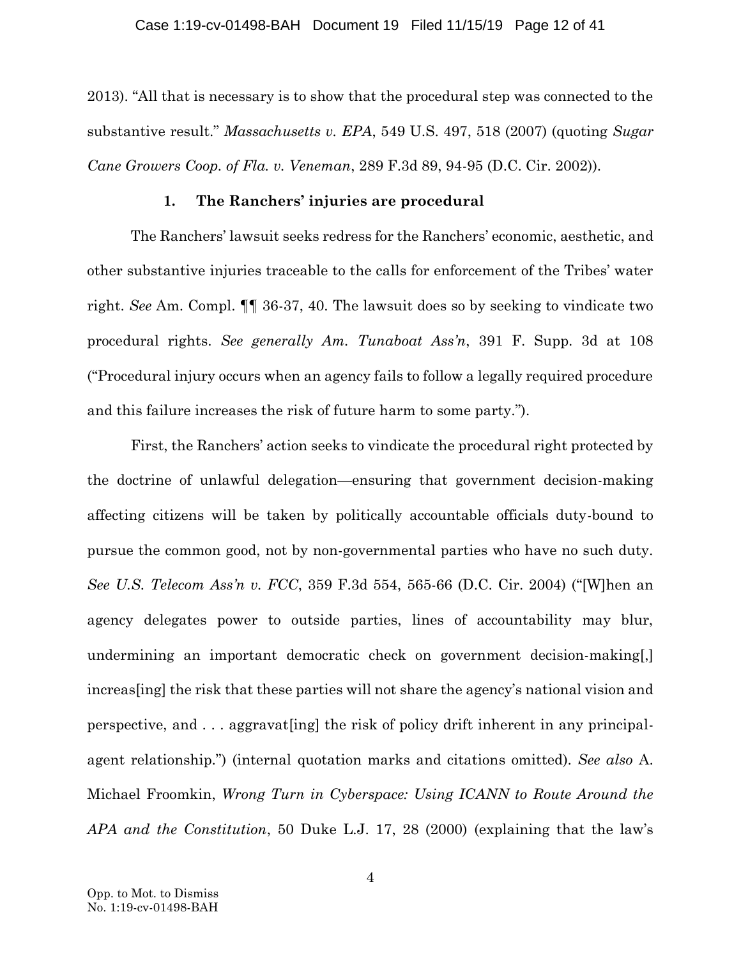2013). "All that is necessary is to show that the procedural step was connected to the substantive result." *Massachusetts v. EPA*, 549 U.S. 497, 518 (2007) (quoting *Sugar Cane Growers Coop. of Fla. v. Veneman*, 289 F.3d 89, 94-95 (D.C. Cir. 2002)).

## <span id="page-11-2"></span><span id="page-11-1"></span><span id="page-11-0"></span>**1. The Ranchers' injuries are procedural**

The Ranchers' lawsuit seeks redress for the Ranchers' economic, aesthetic, and other substantive injuries traceable to the calls for enforcement of the Tribes' water right. *See* Am. Compl. ¶¶ 36-37, 40. The lawsuit does so by seeking to vindicate two procedural rights. *See generally Am. Tunaboat Ass'n*, 391 F. Supp. 3d at 108 ("Procedural injury occurs when an agency fails to follow a legally required procedure and this failure increases the risk of future harm to some party.").

<span id="page-11-4"></span><span id="page-11-3"></span>First, the Ranchers' action seeks to vindicate the procedural right protected by the doctrine of unlawful delegation—ensuring that government decision-making affecting citizens will be taken by politically accountable officials duty-bound to pursue the common good, not by non-governmental parties who have no such duty. *See U.S. Telecom Ass'n v. FCC*, 359 F.3d 554, 565-66 (D.C. Cir. 2004) ("[W]hen an agency delegates power to outside parties, lines of accountability may blur, undermining an important democratic check on government decision-making[,] increas[ing] the risk that these parties will not share the agency's national vision and perspective, and . . . aggravat[ing] the risk of policy drift inherent in any principalagent relationship.") (internal quotation marks and citations omitted). *See also* A. Michael Froomkin, *Wrong Turn in Cyberspace: Using ICANN to Route Around the APA and the Constitution*, 50 Duke L.J. 17, 28 (2000) (explaining that the law's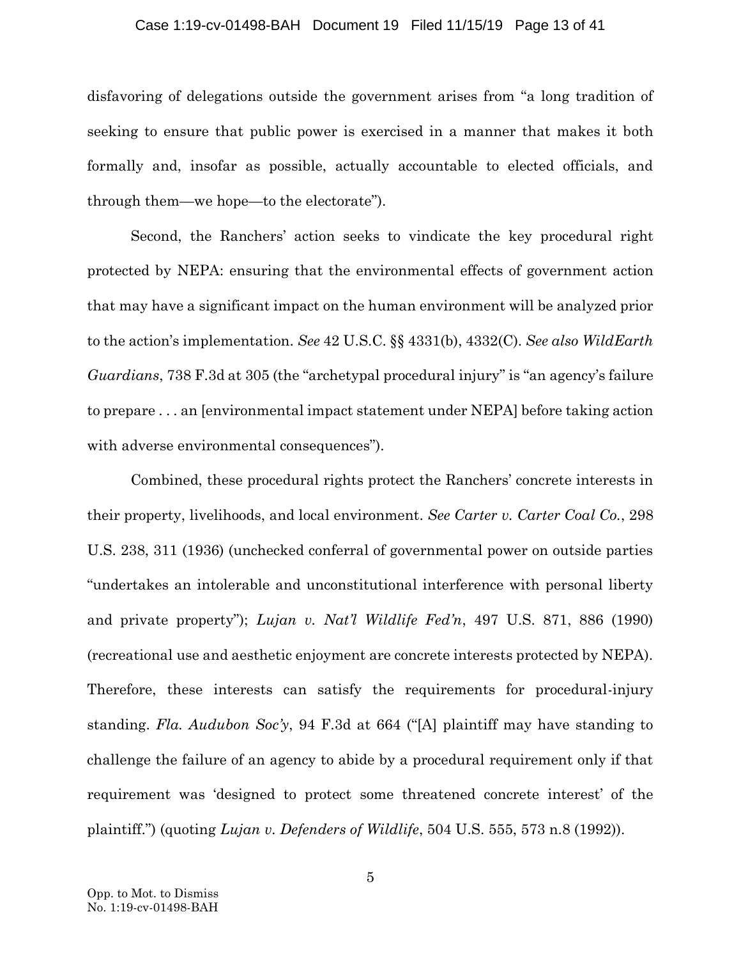#### Case 1:19-cv-01498-BAH Document 19 Filed 11/15/19 Page 13 of 41

disfavoring of delegations outside the government arises from "a long tradition of seeking to ensure that public power is exercised in a manner that makes it both formally and, insofar as possible, actually accountable to elected officials, and through them—we hope—to the electorate").

<span id="page-12-4"></span>Second, the Ranchers' action seeks to vindicate the key procedural right protected by NEPA: ensuring that the environmental effects of government action that may have a significant impact on the human environment will be analyzed prior to the action's implementation. *See* 42 U.S.C. §§ 4331(b), 4332(C). *See also WildEarth Guardians*, 738 F.3d at 305 (the "archetypal procedural injury" is "an agency's failure to prepare . . . an [environmental impact statement under NEPA] before taking action with adverse environmental consequences").

<span id="page-12-3"></span><span id="page-12-2"></span><span id="page-12-1"></span><span id="page-12-0"></span>Combined, these procedural rights protect the Ranchers' concrete interests in their property, livelihoods, and local environment. *See Carter v. Carter Coal Co.*, 298 U.S. 238, 311 (1936) (unchecked conferral of governmental power on outside parties "undertakes an intolerable and unconstitutional interference with personal liberty and private property"); *Lujan v. Nat'l Wildlife Fed'n*, 497 U.S. 871, 886 (1990) (recreational use and aesthetic enjoyment are concrete interests protected by NEPA). Therefore, these interests can satisfy the requirements for procedural-injury standing. *Fla. Audubon Soc'y*, 94 F.3d at 664 ("[A] plaintiff may have standing to challenge the failure of an agency to abide by a procedural requirement only if that requirement was 'designed to protect some threatened concrete interest' of the plaintiff.") (quoting *Lujan v. Defenders of Wildlife*, 504 U.S. 555, 573 n.8 (1992)).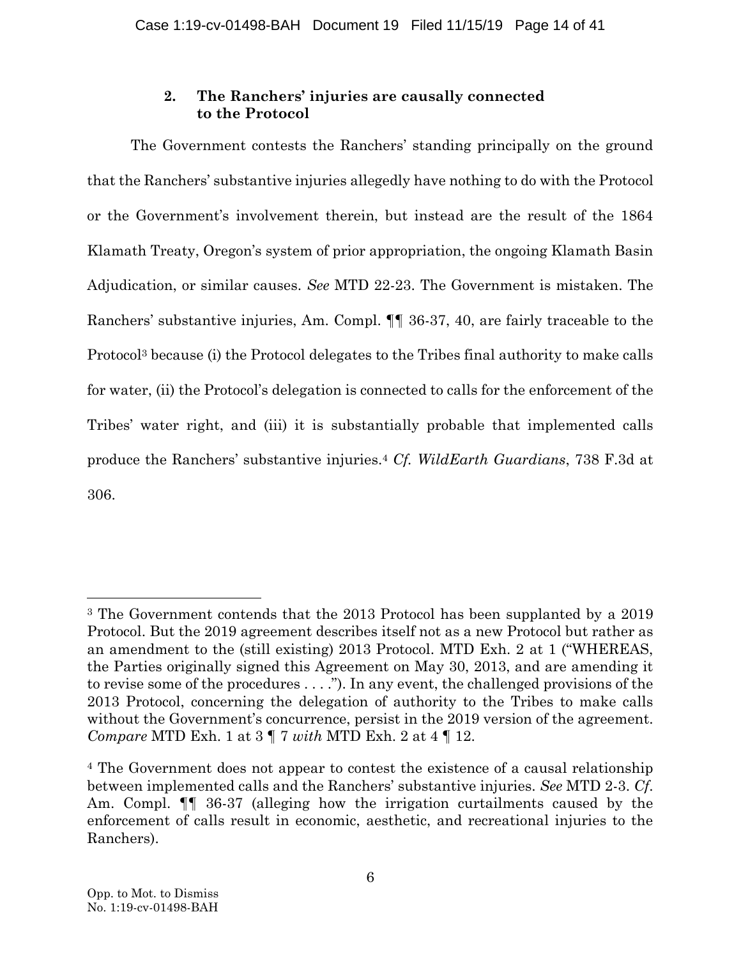## **2. The Ranchers' injuries are causally connected to the Protocol**

The Government contests the Ranchers' standing principally on the ground that the Ranchers' substantive injuries allegedly have nothing to do with the Protocol or the Government's involvement therein, but instead are the result of the 1864 Klamath Treaty, Oregon's system of prior appropriation, the ongoing Klamath Basin Adjudication, or similar causes. *See* MTD 22-23. The Government is mistaken. The Ranchers' substantive injuries, Am. Compl. ¶¶ 36-37, 40, are fairly traceable to the Protocol<sup>3</sup> because (i) the Protocol delegates to the Tribes final authority to make calls for water, (ii) the Protocol's delegation is connected to calls for the enforcement of the Tribes' water right, and (iii) it is substantially probable that implemented calls produce the Ranchers' substantive injuries.<sup>4</sup> *Cf. WildEarth Guardians*, 738 F.3d at 306.

<span id="page-13-0"></span><sup>3</sup> The Government contends that the 2013 Protocol has been supplanted by a 2019 Protocol. But the 2019 agreement describes itself not as a new Protocol but rather as an amendment to the (still existing) 2013 Protocol. MTD Exh. 2 at 1 ("WHEREAS, the Parties originally signed this Agreement on May 30, 2013, and are amending it to revise some of the procedures . . . ."). In any event, the challenged provisions of the 2013 Protocol, concerning the delegation of authority to the Tribes to make calls without the Government's concurrence, persist in the 2019 version of the agreement. *Compare* MTD Exh. 1 at 3 ¶ 7 *with* MTD Exh. 2 at 4 ¶ 12.

<sup>4</sup> The Government does not appear to contest the existence of a causal relationship between implemented calls and the Ranchers' substantive injuries. *See* MTD 2-3. *Cf*. Am. Compl. ¶¶ 36-37 (alleging how the irrigation curtailments caused by the enforcement of calls result in economic, aesthetic, and recreational injuries to the Ranchers).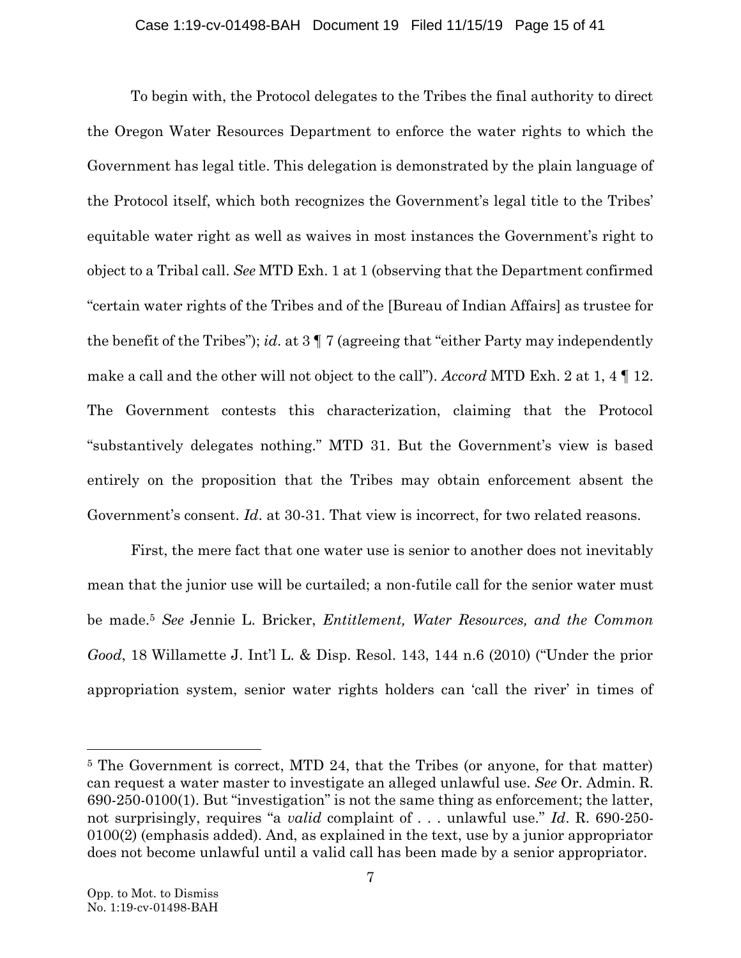To begin with, the Protocol delegates to the Tribes the final authority to direct the Oregon Water Resources Department to enforce the water rights to which the Government has legal title. This delegation is demonstrated by the plain language of the Protocol itself, which both recognizes the Government's legal title to the Tribes' equitable water right as well as waives in most instances the Government's right to object to a Tribal call. *See* MTD Exh. 1 at 1 (observing that the Department confirmed "certain water rights of the Tribes and of the [Bureau of Indian Affairs] as trustee for the benefit of the Tribes"); *id*. at 3 ¶ 7 (agreeing that "either Party may independently make a call and the other will not object to the call"). *Accord* MTD Exh. 2 at 1, 4 ¶ 12. The Government contests this characterization, claiming that the Protocol "substantively delegates nothing." MTD 31. But the Government's view is based entirely on the proposition that the Tribes may obtain enforcement absent the Government's consent. *Id*. at 30-31. That view is incorrect, for two related reasons.

First, the mere fact that one water use is senior to another does not inevitably mean that the junior use will be curtailed; a non-futile call for the senior water must be made.<sup>5</sup> *See* Jennie L. Bricker, *Entitlement, Water Resources, and the Common Good*, 18 Willamette J. Int'l L. & Disp. Resol. 143, 144 n.6 (2010) ("Under the prior appropriation system, senior water rights holders can 'call the river' in times of

<span id="page-14-0"></span> $\overline{a}$ 

<sup>5</sup> The Government is correct, MTD 24, that the Tribes (or anyone, for that matter) can request a water master to investigate an alleged unlawful use. *See* Or. Admin. R. 690-250-0100(1). But "investigation" is not the same thing as enforcement; the latter, not surprisingly, requires "a *valid* complaint of . . . unlawful use." *Id*. R. 690-250- 0100(2) (emphasis added). And, as explained in the text, use by a junior appropriator does not become unlawful until a valid call has been made by a senior appropriator.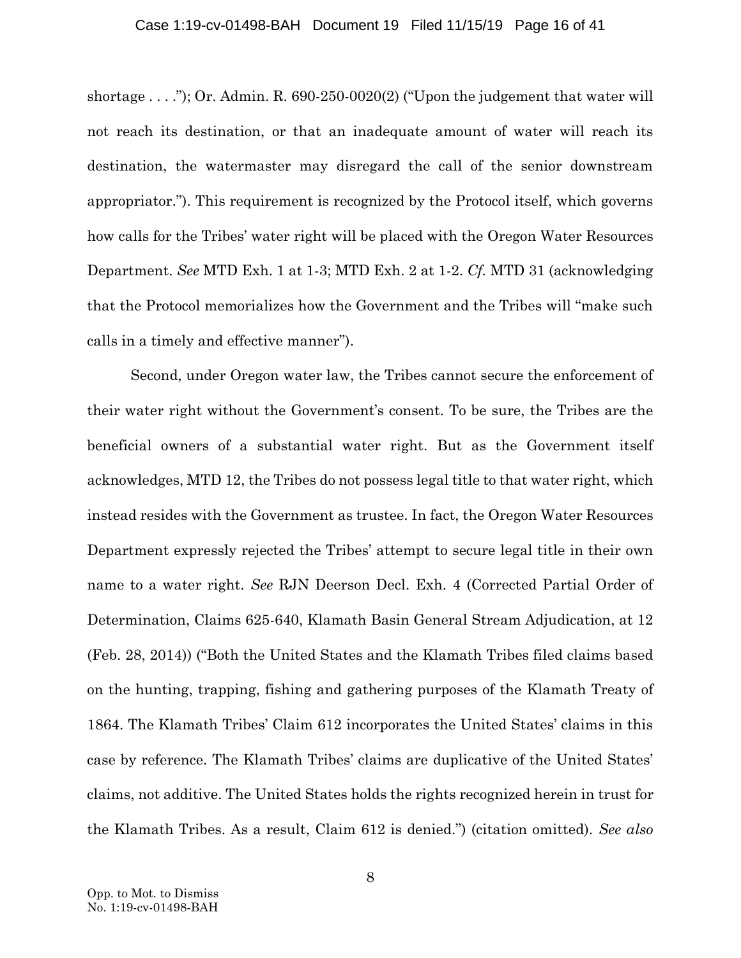#### <span id="page-15-0"></span>Case 1:19-cv-01498-BAH Document 19 Filed 11/15/19 Page 16 of 41

shortage  $\dots$ "); Or. Admin. R. 690-250-0020(2) ("Upon the judgement that water will not reach its destination, or that an inadequate amount of water will reach its destination, the watermaster may disregard the call of the senior downstream appropriator."). This requirement is recognized by the Protocol itself, which governs how calls for the Tribes' water right will be placed with the Oregon Water Resources Department. *See* MTD Exh. 1 at 1-3; MTD Exh. 2 at 1-2. *Cf.* MTD 31 (acknowledging that the Protocol memorializes how the Government and the Tribes will "make such calls in a timely and effective manner").

Second, under Oregon water law, the Tribes cannot secure the enforcement of their water right without the Government's consent. To be sure, the Tribes are the beneficial owners of a substantial water right. But as the Government itself acknowledges, MTD 12, the Tribes do not possess legal title to that water right, which instead resides with the Government as trustee. In fact, the Oregon Water Resources Department expressly rejected the Tribes' attempt to secure legal title in their own name to a water right. *See* RJN Deerson Decl. Exh. 4 (Corrected Partial Order of Determination, Claims 625-640, Klamath Basin General Stream Adjudication, at 12 (Feb. 28, 2014)) ("Both the United States and the Klamath Tribes filed claims based on the hunting, trapping, fishing and gathering purposes of the Klamath Treaty of 1864. The Klamath Tribes' Claim 612 incorporates the United States' claims in this case by reference. The Klamath Tribes' claims are duplicative of the United States' claims, not additive. The United States holds the rights recognized herein in trust for the Klamath Tribes. As a result, Claim 612 is denied.") (citation omitted). *See also*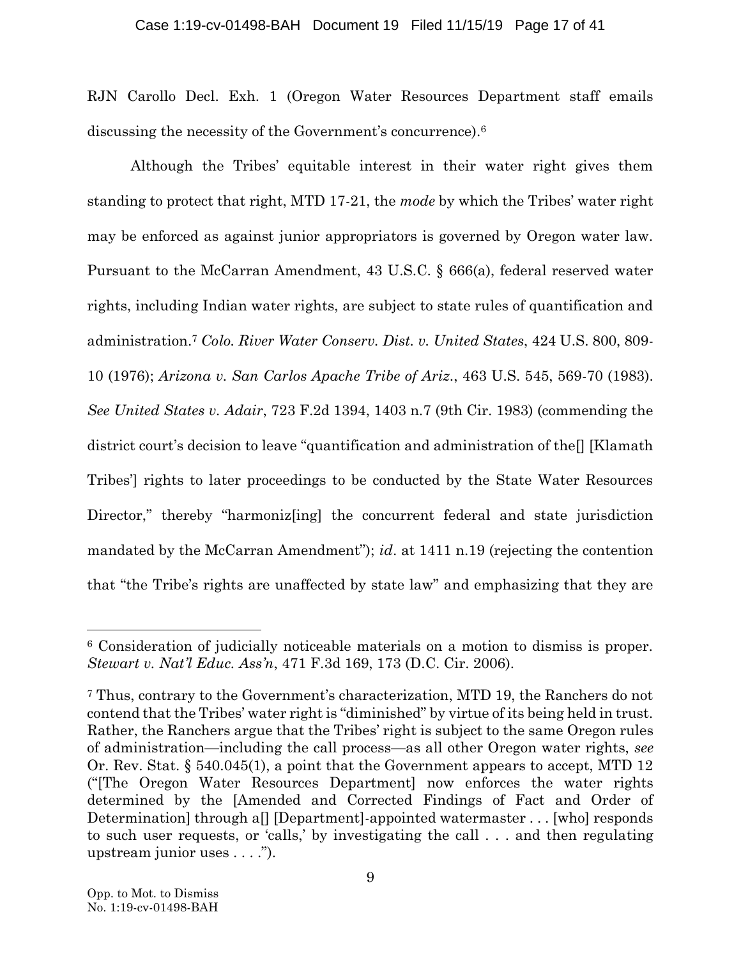### Case 1:19-cv-01498-BAH Document 19 Filed 11/15/19 Page 17 of 41

RJN Carollo Decl. Exh. 1 (Oregon Water Resources Department staff emails discussing the necessity of the Government's concurrence).<sup>6</sup>

<span id="page-16-4"></span><span id="page-16-1"></span><span id="page-16-0"></span>Although the Tribes' equitable interest in their water right gives them standing to protect that right, MTD 17-21, the *mode* by which the Tribes' water right may be enforced as against junior appropriators is governed by Oregon water law. Pursuant to the McCarran Amendment, 43 U.S.C. § 666(a), federal reserved water rights, including Indian water rights, are subject to state rules of quantification and administration.<sup>7</sup> *Colo. River Water Conserv. Dist. v. United States*, 424 U.S. 800, 809- 10 (1976); *Arizona v. San Carlos Apache Tribe of Ariz*., 463 U.S. 545, 569-70 (1983). *See United States v. Adair*, 723 F.2d 1394, 1403 n.7 (9th Cir. 1983) (commending the district court's decision to leave "quantification and administration of the[] [Klamath Tribes'] rights to later proceedings to be conducted by the State Water Resources Director," thereby "harmonize ingleption the concurrent federal and state jurisdiction mandated by the McCarran Amendment"); *id*. at 1411 n.19 (rejecting the contention that "the Tribe's rights are unaffected by state law" and emphasizing that they are

<span id="page-16-3"></span><span id="page-16-2"></span><sup>6</sup> Consideration of judicially noticeable materials on a motion to dismiss is proper. *Stewart v. Nat'l Educ. Ass'n*, 471 F.3d 169, 173 (D.C. Cir. 2006).

<span id="page-16-5"></span><sup>7</sup> Thus, contrary to the Government's characterization, MTD 19, the Ranchers do not contend that the Tribes' water right is "diminished" by virtue of its being held in trust. Rather, the Ranchers argue that the Tribes' right is subject to the same Oregon rules of administration—including the call process—as all other Oregon water rights, *see* Or. Rev. Stat. § 540.045(1), a point that the Government appears to accept, MTD 12 ("[The Oregon Water Resources Department] now enforces the water rights determined by the [Amended and Corrected Findings of Fact and Order of Determination] through a[] [Department]-appointed watermaster . . . [who] responds to such user requests, or 'calls,' by investigating the call . . . and then regulating upstream junior uses . . . .").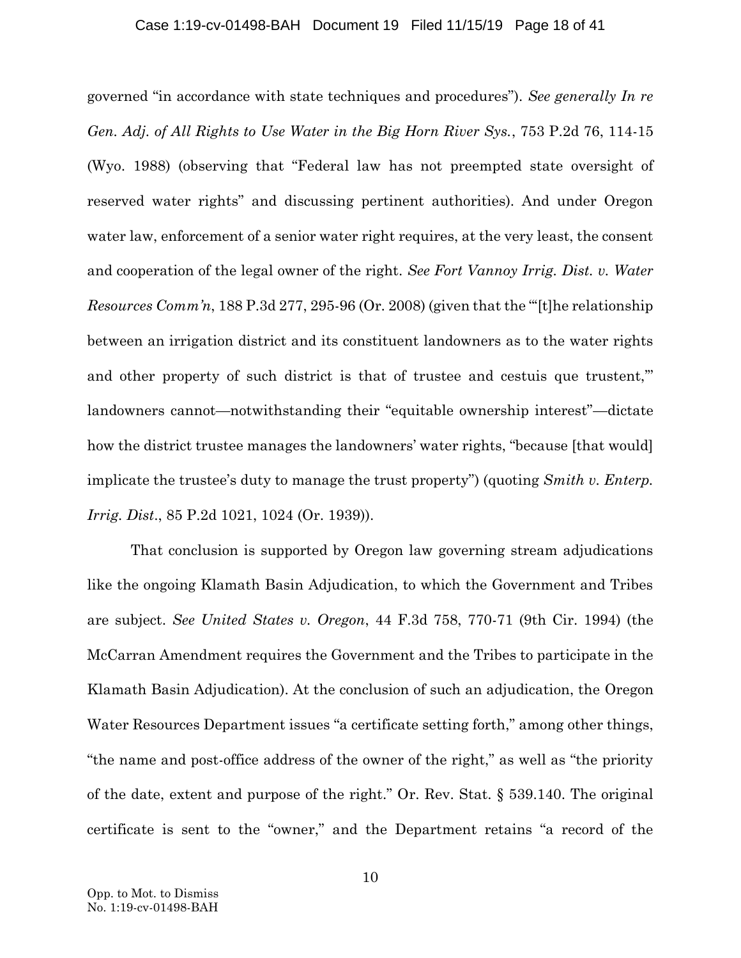#### <span id="page-17-1"></span><span id="page-17-0"></span>Case 1:19-cv-01498-BAH Document 19 Filed 11/15/19 Page 18 of 41

governed "in accordance with state techniques and procedures"). *See generally In re Gen. Adj. of All Rights to Use Water in the Big Horn River Sys.*, 753 P.2d 76, 114-15 (Wyo. 1988) (observing that "Federal law has not preempted state oversight of reserved water rights" and discussing pertinent authorities). And under Oregon water law, enforcement of a senior water right requires, at the very least, the consent and cooperation of the legal owner of the right. *See Fort Vannoy Irrig. Dist. v. Water Resources Comm'n*, 188 P.3d 277, 295-96 (Or. 2008) (given that the "'[t]he relationship between an irrigation district and its constituent landowners as to the water rights and other property of such district is that of trustee and cestuis que trustent," landowners cannot—notwithstanding their "equitable ownership interest"—dictate how the district trustee manages the landowners' water rights, "because [that would] implicate the trustee's duty to manage the trust property") (quoting *Smith v. Enterp. Irrig. Dist*., 85 P.2d 1021, 1024 (Or. 1939)).

<span id="page-17-4"></span><span id="page-17-3"></span><span id="page-17-2"></span>That conclusion is supported by Oregon law governing stream adjudications like the ongoing Klamath Basin Adjudication, to which the Government and Tribes are subject. *See United States v. Oregon*, 44 F.3d 758, 770-71 (9th Cir. 1994) (the McCarran Amendment requires the Government and the Tribes to participate in the Klamath Basin Adjudication). At the conclusion of such an adjudication, the Oregon Water Resources Department issues "a certificate setting forth," among other things, "the name and post-office address of the owner of the right," as well as "the priority of the date, extent and purpose of the right." Or. Rev. Stat. § 539.140. The original certificate is sent to the "owner," and the Department retains "a record of the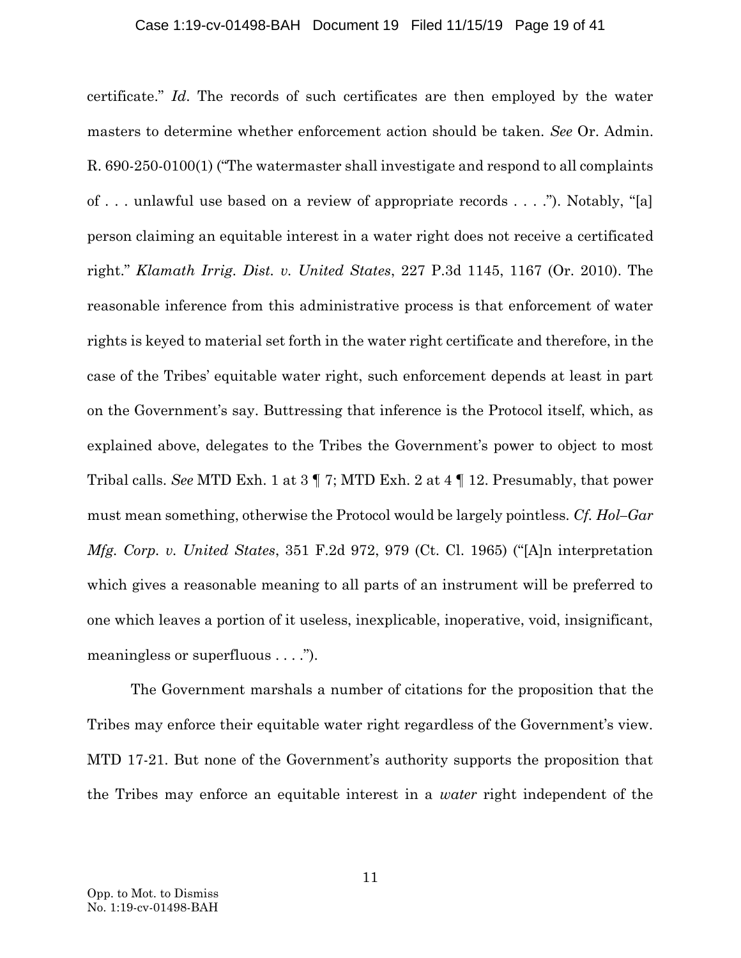### <span id="page-18-3"></span><span id="page-18-2"></span>Case 1:19-cv-01498-BAH Document 19 Filed 11/15/19 Page 19 of 41

<span id="page-18-1"></span>certificate." *Id*. The records of such certificates are then employed by the water masters to determine whether enforcement action should be taken. *See* Or. Admin. R. 690-250-0100(1) ("The watermaster shall investigate and respond to all complaints of . . . unlawful use based on a review of appropriate records . . . ."). Notably, "[a] person claiming an equitable interest in a water right does not receive a certificated right." *Klamath Irrig. Dist. v. United States*, 227 P.3d 1145, 1167 (Or. 2010). The reasonable inference from this administrative process is that enforcement of water rights is keyed to material set forth in the water right certificate and therefore, in the case of the Tribes' equitable water right, such enforcement depends at least in part on the Government's say. Buttressing that inference is the Protocol itself, which, as explained above, delegates to the Tribes the Government's power to object to most Tribal calls. *See* MTD Exh. 1 at 3 ¶ 7; MTD Exh. 2 at 4 ¶ 12. Presumably, that power must mean something, otherwise the Protocol would be largely pointless. *Cf. Hol–Gar Mfg. Corp. v. United States*, 351 F.2d 972, 979 (Ct. Cl. 1965) ("[A]n interpretation which gives a reasonable meaning to all parts of an instrument will be preferred to one which leaves a portion of it useless, inexplicable, inoperative, void, insignificant, meaningless or superfluous . . . .").

<span id="page-18-0"></span>The Government marshals a number of citations for the proposition that the Tribes may enforce their equitable water right regardless of the Government's view. MTD 17-21. But none of the Government's authority supports the proposition that the Tribes may enforce an equitable interest in a *water* right independent of the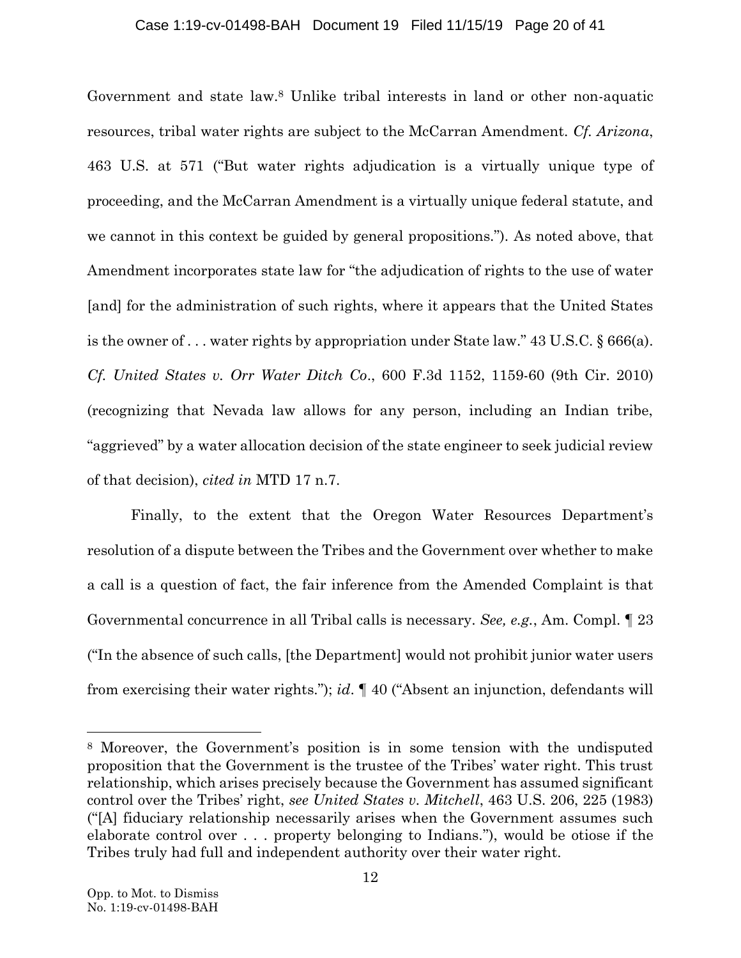## Case 1:19-cv-01498-BAH Document 19 Filed 11/15/19 Page 20 of 41

Government and state law.<sup>8</sup> Unlike tribal interests in land or other non-aquatic resources, tribal water rights are subject to the McCarran Amendment. *Cf. Arizona*, 463 U.S. at 571 ("But water rights adjudication is a virtually unique type of proceeding, and the McCarran Amendment is a virtually unique federal statute, and we cannot in this context be guided by general propositions."). As noted above, that Amendment incorporates state law for "the adjudication of rights to the use of water [and] for the administration of such rights, where it appears that the United States is the owner of . . . water rights by appropriation under State law." 43 U.S.C. § 666(a). *Cf. United States v. Orr Water Ditch Co*., 600 F.3d 1152, 1159-60 (9th Cir. 2010) (recognizing that Nevada law allows for any person, including an Indian tribe, "aggrieved" by a water allocation decision of the state engineer to seek judicial review of that decision), *cited in* MTD 17 n.7.

<span id="page-19-2"></span><span id="page-19-1"></span>Finally, to the extent that the Oregon Water Resources Department's resolution of a dispute between the Tribes and the Government over whether to make a call is a question of fact, the fair inference from the Amended Complaint is that Governmental concurrence in all Tribal calls is necessary. *See, e.g.*, Am. Compl. ¶ 23 ("In the absence of such calls, [the Department] would not prohibit junior water users from exercising their water rights."); *id*. ¶ 40 ("Absent an injunction, defendants will

<span id="page-19-0"></span><sup>8</sup> Moreover, the Government's position is in some tension with the undisputed proposition that the Government is the trustee of the Tribes' water right. This trust relationship, which arises precisely because the Government has assumed significant control over the Tribes' right, *see United States v. Mitchell*, 463 U.S. 206, 225 (1983) ("[A] fiduciary relationship necessarily arises when the Government assumes such elaborate control over . . . property belonging to Indians."), would be otiose if the Tribes truly had full and independent authority over their water right.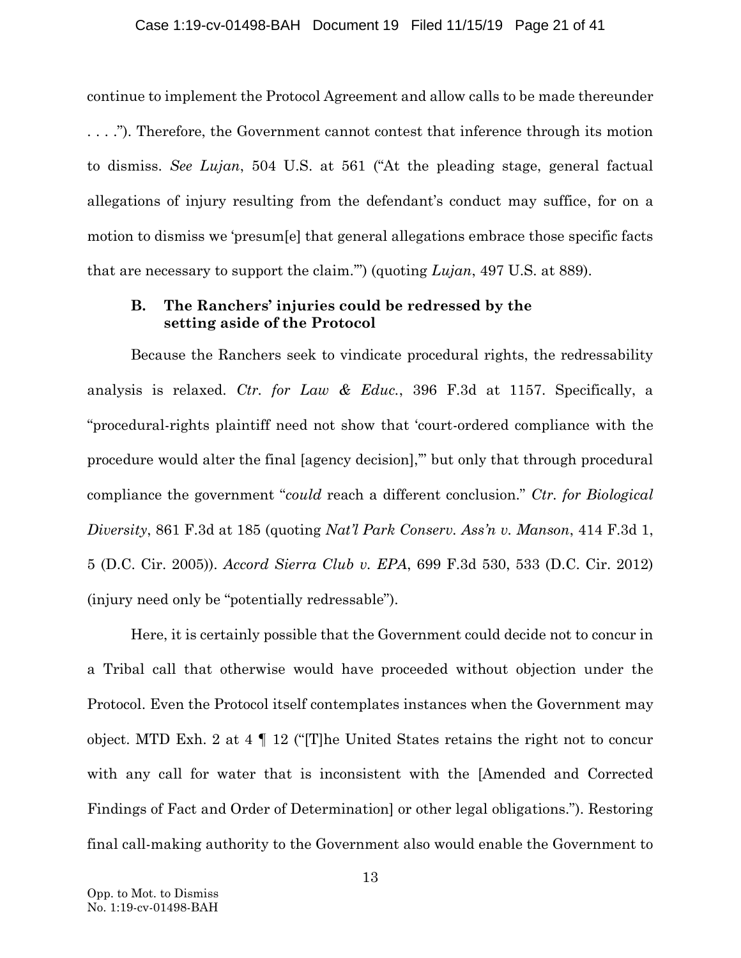### Case 1:19-cv-01498-BAH Document 19 Filed 11/15/19 Page 21 of 41

continue to implement the Protocol Agreement and allow calls to be made thereunder . . . ."). Therefore, the Government cannot contest that inference through its motion to dismiss. *See Lujan*, 504 U.S. at 561 ("At the pleading stage, general factual allegations of injury resulting from the defendant's conduct may suffice, for on a motion to dismiss we 'presum[e] that general allegations embrace those specific facts that are necessary to support the claim.'") (quoting *Lujan*, 497 U.S. at 889).

## <span id="page-20-2"></span><span id="page-20-1"></span><span id="page-20-0"></span>**B. The Ranchers' injuries could be redressed by the setting aside of the Protocol**

Because the Ranchers seek to vindicate procedural rights, the redressability analysis is relaxed. *Ctr. for Law & Educ.*, 396 F.3d at 1157. Specifically, a "procedural-rights plaintiff need not show that 'court-ordered compliance with the procedure would alter the final [agency decision],'" but only that through procedural compliance the government "*could* reach a different conclusion." *Ctr. for Biological Diversity*, 861 F.3d at 185 (quoting *Nat'l Park Conserv. Ass'n v. Manson*, 414 F.3d 1, 5 (D.C. Cir. 2005)). *Accord Sierra Club v. EPA*, 699 F.3d 530, 533 (D.C. Cir. 2012) (injury need only be "potentially redressable").

<span id="page-20-4"></span><span id="page-20-3"></span>Here, it is certainly possible that the Government could decide not to concur in a Tribal call that otherwise would have proceeded without objection under the Protocol. Even the Protocol itself contemplates instances when the Government may object. MTD Exh. 2 at 4 ¶ 12 ("[T]he United States retains the right not to concur with any call for water that is inconsistent with the [Amended and Corrected Findings of Fact and Order of Determination] or other legal obligations."). Restoring final call-making authority to the Government also would enable the Government to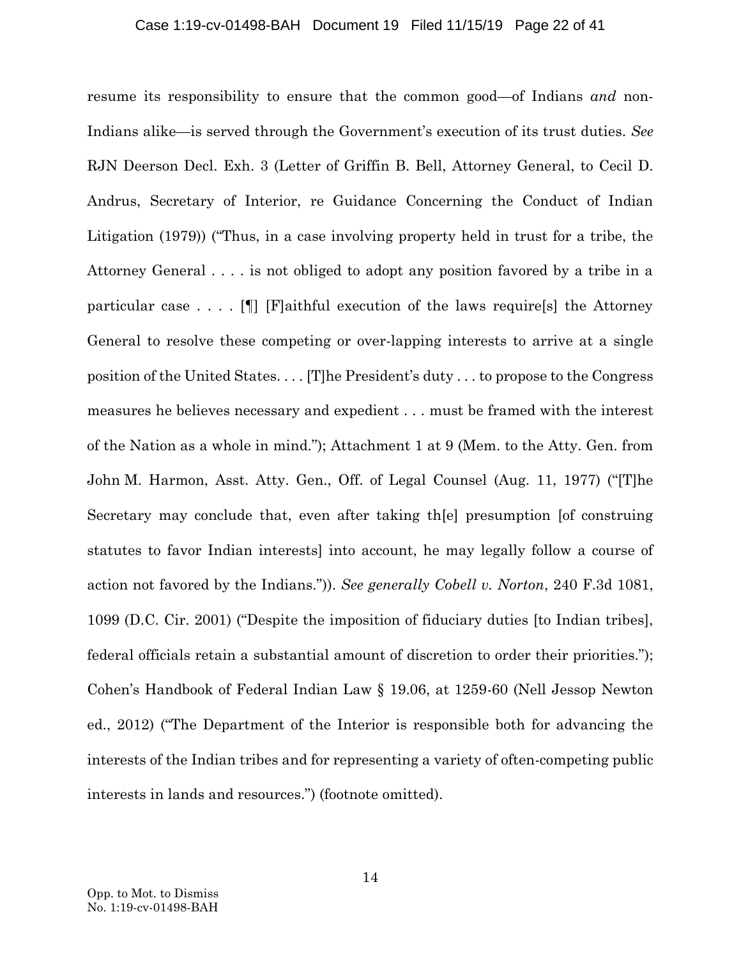### Case 1:19-cv-01498-BAH Document 19 Filed 11/15/19 Page 22 of 41

<span id="page-21-1"></span><span id="page-21-0"></span>resume its responsibility to ensure that the common good—of Indians *and* non-Indians alike—is served through the Government's execution of its trust duties. *See*  RJN Deerson Decl. Exh. 3 (Letter of Griffin B. Bell, Attorney General, to Cecil D. Andrus, Secretary of Interior, re Guidance Concerning the Conduct of Indian Litigation (1979)) ("Thus, in a case involving property held in trust for a tribe, the Attorney General . . . . is not obliged to adopt any position favored by a tribe in a particular case  $\dots$ . [[[] [F]aithful execution of the laws require[s] the Attorney General to resolve these competing or over-lapping interests to arrive at a single position of the United States. . . . [T]he President's duty . . . to propose to the Congress measures he believes necessary and expedient . . . must be framed with the interest of the Nation as a whole in mind."); Attachment 1 at 9 (Mem. to the Atty. Gen. from John M. Harmon, Asst. Atty. Gen., Off. of Legal Counsel (Aug. 11, 1977) ("[T]he Secretary may conclude that, even after taking th[e] presumption [of construing statutes to favor Indian interests] into account, he may legally follow a course of action not favored by the Indians.")). *See generally Cobell v. Norton*, 240 F.3d 1081, 1099 (D.C. Cir. 2001) ("Despite the imposition of fiduciary duties [to Indian tribes], federal officials retain a substantial amount of discretion to order their priorities."); Cohen's Handbook of Federal Indian Law § 19.06, at 1259-60 (Nell Jessop Newton ed., 2012) ("The Department of the Interior is responsible both for advancing the interests of the Indian tribes and for representing a variety of often-competing public interests in lands and resources.") (footnote omitted).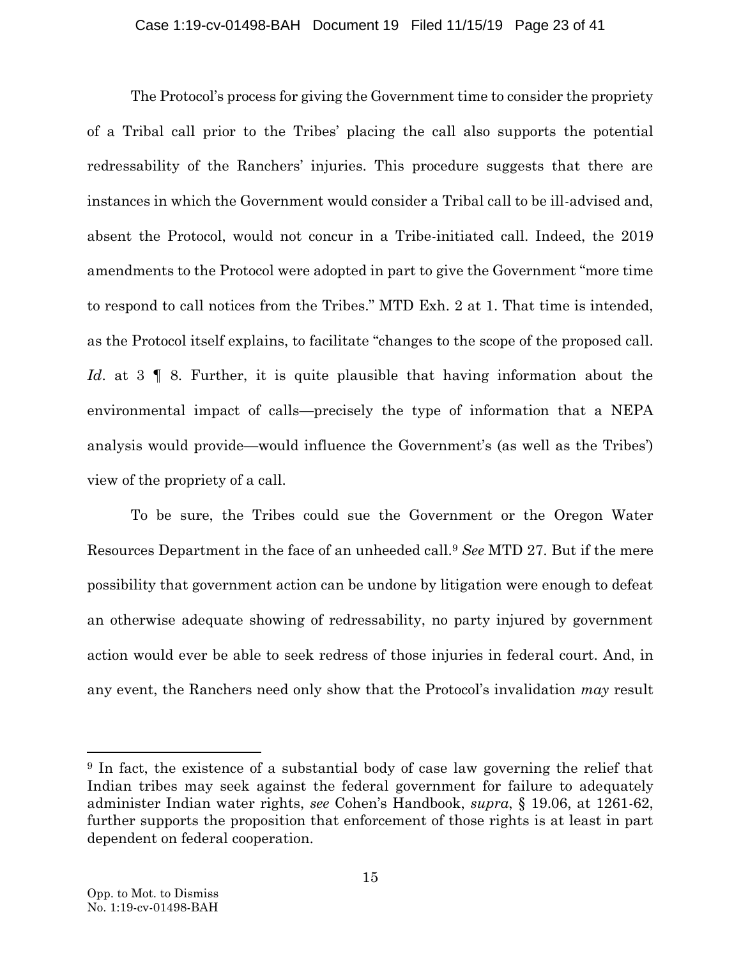### Case 1:19-cv-01498-BAH Document 19 Filed 11/15/19 Page 23 of 41

The Protocol's process for giving the Government time to consider the propriety of a Tribal call prior to the Tribes' placing the call also supports the potential redressability of the Ranchers' injuries. This procedure suggests that there are instances in which the Government would consider a Tribal call to be ill-advised and, absent the Protocol, would not concur in a Tribe-initiated call. Indeed, the 2019 amendments to the Protocol were adopted in part to give the Government "more time to respond to call notices from the Tribes." MTD Exh. 2 at 1. That time is intended, as the Protocol itself explains, to facilitate "changes to the scope of the proposed call. *Id.* at 3 | 8. Further, it is quite plausible that having information about the environmental impact of calls—precisely the type of information that a NEPA analysis would provide—would influence the Government's (as well as the Tribes') view of the propriety of a call.

To be sure, the Tribes could sue the Government or the Oregon Water Resources Department in the face of an unheeded call.<sup>9</sup> *See* MTD 27. But if the mere possibility that government action can be undone by litigation were enough to defeat an otherwise adequate showing of redressability, no party injured by government action would ever be able to seek redress of those injuries in federal court. And, in any event, the Ranchers need only show that the Protocol's invalidation *may* result

<sup>9</sup> In fact, the existence of a substantial body of case law governing the relief that Indian tribes may seek against the federal government for failure to adequately administer Indian water rights, *see* Cohen's Handbook, *supra*, § 19.06, at 1261-62, further supports the proposition that enforcement of those rights is at least in part dependent on federal cooperation.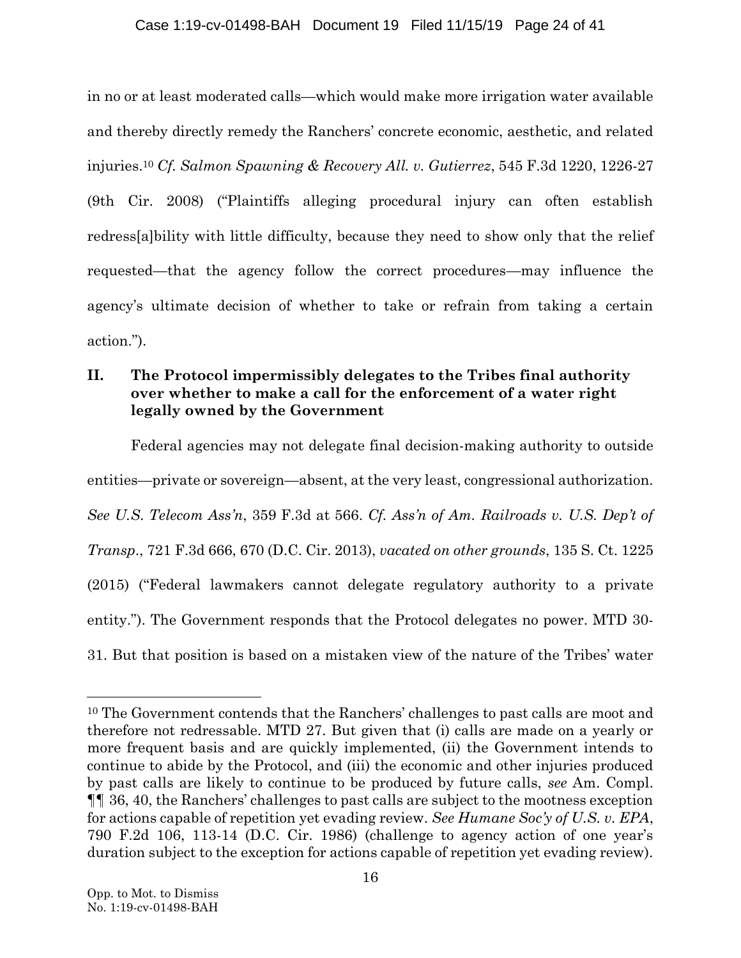## Case 1:19-cv-01498-BAH Document 19 Filed 11/15/19 Page 24 of 41

<span id="page-23-2"></span>in no or at least moderated calls—which would make more irrigation water available and thereby directly remedy the Ranchers' concrete economic, aesthetic, and related injuries.<sup>10</sup> *Cf. Salmon Spawning & Recovery All. v. Gutierrez*, 545 F.3d 1220, 1226-27 (9th Cir. 2008) ("Plaintiffs alleging procedural injury can often establish redress[a]bility with little difficulty, because they need to show only that the relief requested—that the agency follow the correct procedures—may influence the agency's ultimate decision of whether to take or refrain from taking a certain action.").

## **II. The Protocol impermissibly delegates to the Tribes final authority over whether to make a call for the enforcement of a water right legally owned by the Government**

<span id="page-23-3"></span><span id="page-23-0"></span>Federal agencies may not delegate final decision-making authority to outside entities—private or sovereign—absent, at the very least, congressional authorization. *See U.S. Telecom Ass'n*, 359 F.3d at 566. *Cf. Ass'n of Am. Railroads v. U.S. Dep't of Transp*., 721 F.3d 666, 670 (D.C. Cir. 2013), *vacated on other grounds*, 135 S. Ct. 1225 (2015) ("Federal lawmakers cannot delegate regulatory authority to a private entity."). The Government responds that the Protocol delegates no power. MTD 30- 31. But that position is based on a mistaken view of the nature of the Tribes' water

<span id="page-23-1"></span><sup>10</sup> The Government contends that the Ranchers' challenges to past calls are moot and therefore not redressable. MTD 27. But given that (i) calls are made on a yearly or more frequent basis and are quickly implemented, (ii) the Government intends to continue to abide by the Protocol, and (iii) the economic and other injuries produced by past calls are likely to continue to be produced by future calls, *see* Am. Compl. ¶¶ 36, 40, the Ranchers' challenges to past calls are subject to the mootness exception for actions capable of repetition yet evading review. *See Humane Soc'y of U.S. v. EPA*, 790 F.2d 106, 113-14 (D.C. Cir. 1986) (challenge to agency action of one year's duration subject to the exception for actions capable of repetition yet evading review).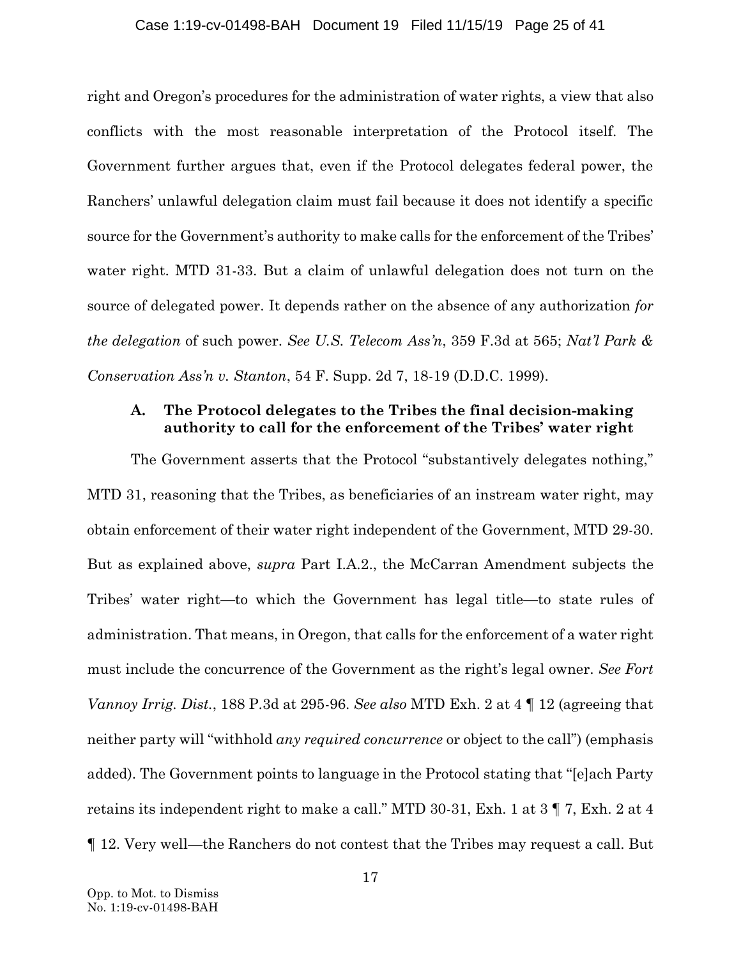### Case 1:19-cv-01498-BAH Document 19 Filed 11/15/19 Page 25 of 41

right and Oregon's procedures for the administration of water rights, a view that also conflicts with the most reasonable interpretation of the Protocol itself. The Government further argues that, even if the Protocol delegates federal power, the Ranchers' unlawful delegation claim must fail because it does not identify a specific source for the Government's authority to make calls for the enforcement of the Tribes' water right. MTD 31-33. But a claim of unlawful delegation does not turn on the source of delegated power. It depends rather on the absence of any authorization *for the delegation* of such power. *See U.S. Telecom Ass'n*, 359 F.3d at 565; *Nat'l Park & Conservation Ass'n v. Stanton*, 54 F. Supp. 2d 7, 18-19 (D.D.C. 1999).

## <span id="page-24-2"></span><span id="page-24-1"></span><span id="page-24-0"></span>**A. The Protocol delegates to the Tribes the final decision-making authority to call for the enforcement of the Tribes' water right**

The Government asserts that the Protocol "substantively delegates nothing," MTD 31, reasoning that the Tribes, as beneficiaries of an instream water right, may obtain enforcement of their water right independent of the Government, MTD 29-30. But as explained above, *supra* Part I.A.2., the McCarran Amendment subjects the Tribes' water right—to which the Government has legal title—to state rules of administration. That means, in Oregon, that calls for the enforcement of a water right must include the concurrence of the Government as the right's legal owner. *See Fort Vannoy Irrig. Dist.*, 188 P.3d at 295-96. *See also* MTD Exh. 2 at 4 ¶ 12 (agreeing that neither party will "withhold *any required concurrence* or object to the call") (emphasis added). The Government points to language in the Protocol stating that "[e]ach Party retains its independent right to make a call." MTD 30-31, Exh. 1 at 3 ¶ 7, Exh. 2 at 4 ¶ 12. Very well—the Ranchers do not contest that the Tribes may request a call. But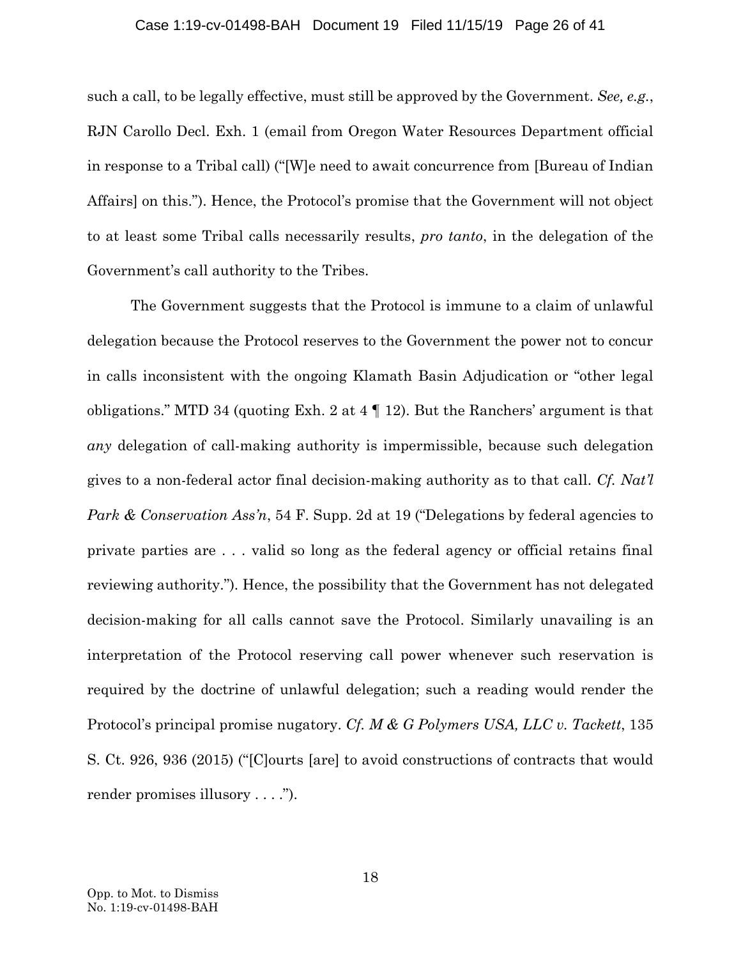### Case 1:19-cv-01498-BAH Document 19 Filed 11/15/19 Page 26 of 41

such a call, to be legally effective, must still be approved by the Government. *See, e.g.*, RJN Carollo Decl. Exh. 1 (email from Oregon Water Resources Department official in response to a Tribal call) ("[W]e need to await concurrence from [Bureau of Indian Affairs] on this."). Hence, the Protocol's promise that the Government will not object to at least some Tribal calls necessarily results, *pro tanto*, in the delegation of the Government's call authority to the Tribes.

<span id="page-25-1"></span><span id="page-25-0"></span>The Government suggests that the Protocol is immune to a claim of unlawful delegation because the Protocol reserves to the Government the power not to concur in calls inconsistent with the ongoing Klamath Basin Adjudication or "other legal obligations." MTD 34 (quoting Exh. 2 at 4 ¶ 12). But the Ranchers' argument is that *any* delegation of call-making authority is impermissible, because such delegation gives to a non-federal actor final decision-making authority as to that call. *Cf. Nat'l Park & Conservation Ass'n*, 54 F. Supp. 2d at 19 ("Delegations by federal agencies to private parties are . . . valid so long as the federal agency or official retains final reviewing authority."). Hence, the possibility that the Government has not delegated decision-making for all calls cannot save the Protocol. Similarly unavailing is an interpretation of the Protocol reserving call power whenever such reservation is required by the doctrine of unlawful delegation; such a reading would render the Protocol's principal promise nugatory. *Cf. M & G Polymers USA, LLC v. Tackett*, 135 S. Ct. 926, 936 (2015) ("[C]ourts [are] to avoid constructions of contracts that would render promises illusory . . . .").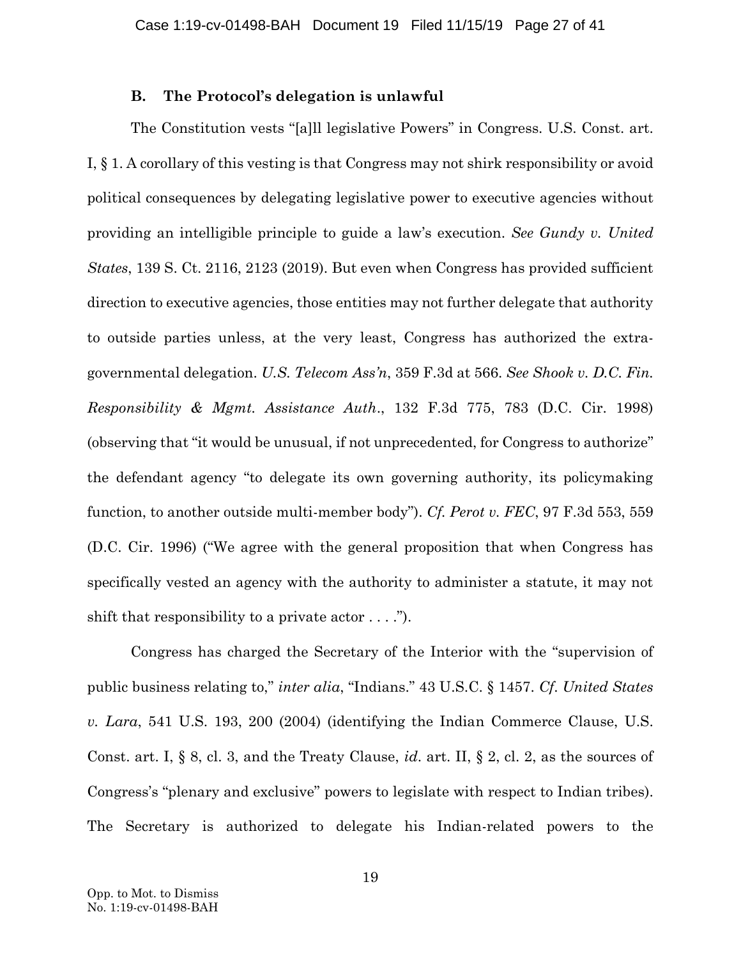## <span id="page-26-5"></span><span id="page-26-2"></span><span id="page-26-0"></span>**B. The Protocol's delegation is unlawful**

<span id="page-26-3"></span>The Constitution vests "[a]ll legislative Powers" in Congress. U.S. Const. art. I, § 1. A corollary of this vesting is that Congress may not shirk responsibility or avoid political consequences by delegating legislative power to executive agencies without providing an intelligible principle to guide a law's execution. *See Gundy v. United States*, 139 S. Ct. 2116, 2123 (2019). But even when Congress has provided sufficient direction to executive agencies, those entities may not further delegate that authority to outside parties unless, at the very least, Congress has authorized the extragovernmental delegation. *U.S. Telecom Ass'n*, 359 F.3d at 566. *See Shook v. D.C. Fin. Responsibility & Mgmt. Assistance Auth*., 132 F.3d 775, 783 (D.C. Cir. 1998) (observing that "it would be unusual, if not unprecedented, for Congress to authorize" the defendant agency "to delegate its own governing authority, its policymaking function, to another outside multi-member body"). *Cf. Perot v. FEC*, 97 F.3d 553, 559 (D.C. Cir. 1996) ("We agree with the general proposition that when Congress has specifically vested an agency with the authority to administer a statute, it may not shift that responsibility to a private actor  $\dots$ .

<span id="page-26-7"></span><span id="page-26-6"></span><span id="page-26-4"></span><span id="page-26-1"></span>Congress has charged the Secretary of the Interior with the "supervision of public business relating to," *inter alia*, "Indians." 43 U.S.C. § 1457. *Cf*. *United States v. Lara*, 541 U.S. 193, 200 (2004) (identifying the Indian Commerce Clause, U.S. Const. art. I, § 8, cl. 3, and the Treaty Clause, *id*. art. II, § 2, cl. 2, as the sources of Congress's "plenary and exclusive" powers to legislate with respect to Indian tribes). The Secretary is authorized to delegate his Indian-related powers to the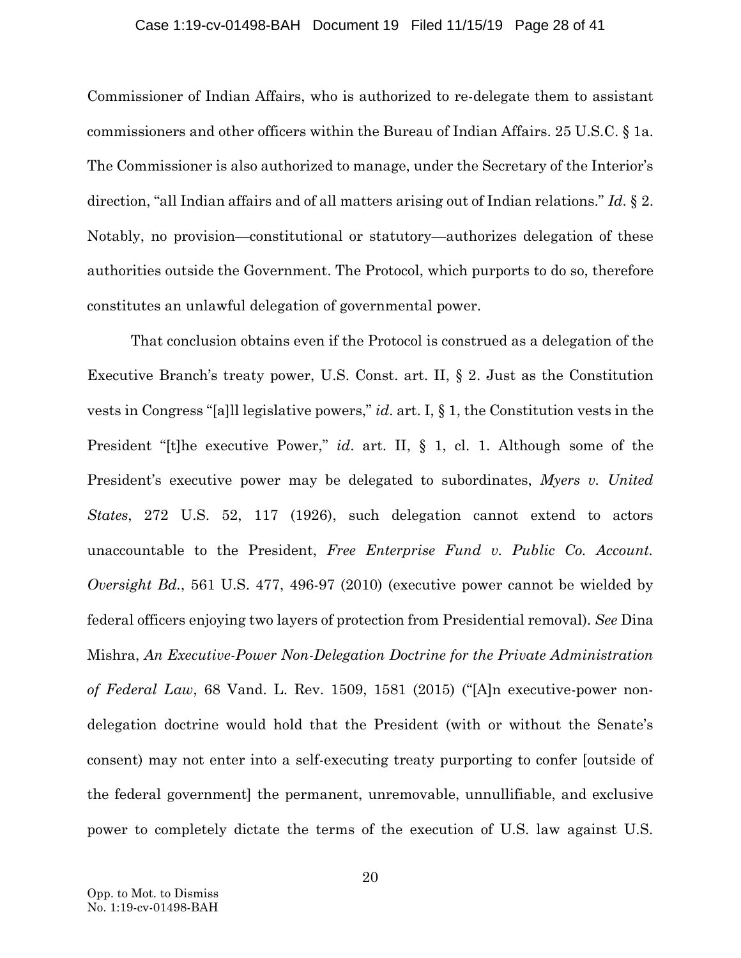#### <span id="page-27-5"></span><span id="page-27-4"></span>Case 1:19-cv-01498-BAH Document 19 Filed 11/15/19 Page 28 of 41

Commissioner of Indian Affairs, who is authorized to re-delegate them to assistant commissioners and other officers within the Bureau of Indian Affairs. 25 U.S.C. § 1a. The Commissioner is also authorized to manage, under the Secretary of the Interior's direction, "all Indian affairs and of all matters arising out of Indian relations." *Id*. § 2. Notably, no provision—constitutional or statutory—authorizes delegation of these authorities outside the Government. The Protocol, which purports to do so, therefore constitutes an unlawful delegation of governmental power.

<span id="page-27-6"></span><span id="page-27-3"></span><span id="page-27-2"></span><span id="page-27-1"></span><span id="page-27-0"></span>That conclusion obtains even if the Protocol is construed as a delegation of the Executive Branch's treaty power, U.S. Const. art. II, § 2. Just as the Constitution vests in Congress "[a]ll legislative powers," *id*. art. I, § 1, the Constitution vests in the President "[t]he executive Power," *id*. art. II, § 1, cl. 1. Although some of the President's executive power may be delegated to subordinates, *Myers v. United States*, 272 U.S. 52, 117 (1926), such delegation cannot extend to actors unaccountable to the President, *Free Enterprise Fund v. Public Co. Account. Oversight Bd.*, 561 U.S. 477, 496-97 (2010) (executive power cannot be wielded by federal officers enjoying two layers of protection from Presidential removal)*. See* Dina Mishra, *An Executive-Power Non-Delegation Doctrine for the Private Administration of Federal Law*, 68 Vand. L. Rev. 1509, 1581 (2015) ("[A]n executive-power nondelegation doctrine would hold that the President (with or without the Senate's consent) may not enter into a self-executing treaty purporting to confer [outside of the federal government] the permanent, unremovable, unnullifiable, and exclusive power to completely dictate the terms of the execution of U.S. law against U.S.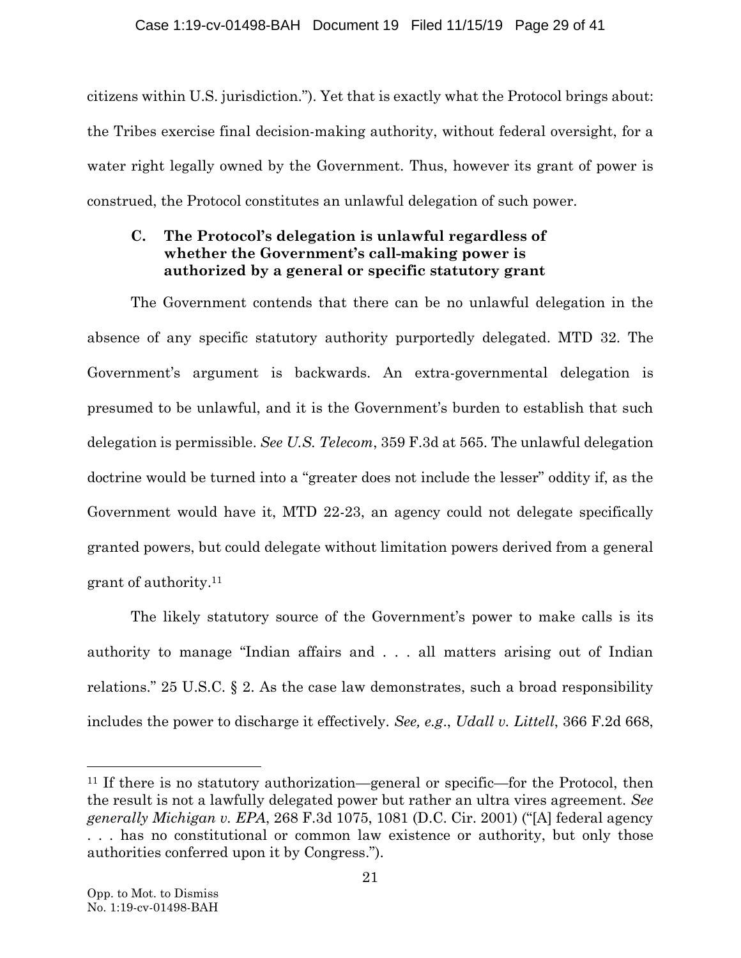citizens within U.S. jurisdiction."). Yet that is exactly what the Protocol brings about: the Tribes exercise final decision-making authority, without federal oversight, for a water right legally owned by the Government. Thus, however its grant of power is construed, the Protocol constitutes an unlawful delegation of such power.

## **C. The Protocol's delegation is unlawful regardless of whether the Government's call-making power is authorized by a general or specific statutory grant**

<span id="page-28-1"></span>The Government contends that there can be no unlawful delegation in the absence of any specific statutory authority purportedly delegated. MTD 32. The Government's argument is backwards. An extra-governmental delegation is presumed to be unlawful, and it is the Government's burden to establish that such delegation is permissible. *See U.S. Telecom*, 359 F.3d at 565. The unlawful delegation doctrine would be turned into a "greater does not include the lesser" oddity if, as the Government would have it, MTD 22-23, an agency could not delegate specifically granted powers, but could delegate without limitation powers derived from a general grant of authority.<sup>11</sup>

<span id="page-28-3"></span>The likely statutory source of the Government's power to make calls is its authority to manage "Indian affairs and . . . all matters arising out of Indian relations." 25 U.S.C. § 2. As the case law demonstrates, such a broad responsibility includes the power to discharge it effectively. *See, e.g*., *Udall v. Littell*, 366 F.2d 668,

<span id="page-28-2"></span><span id="page-28-0"></span><sup>11</sup> If there is no statutory authorization—general or specific—for the Protocol, then the result is not a lawfully delegated power but rather an ultra vires agreement. *See generally Michigan v. EPA*, 268 F.3d 1075, 1081 (D.C. Cir. 2001) ("[A] federal agency . . . has no constitutional or common law existence or authority, but only those authorities conferred upon it by Congress.").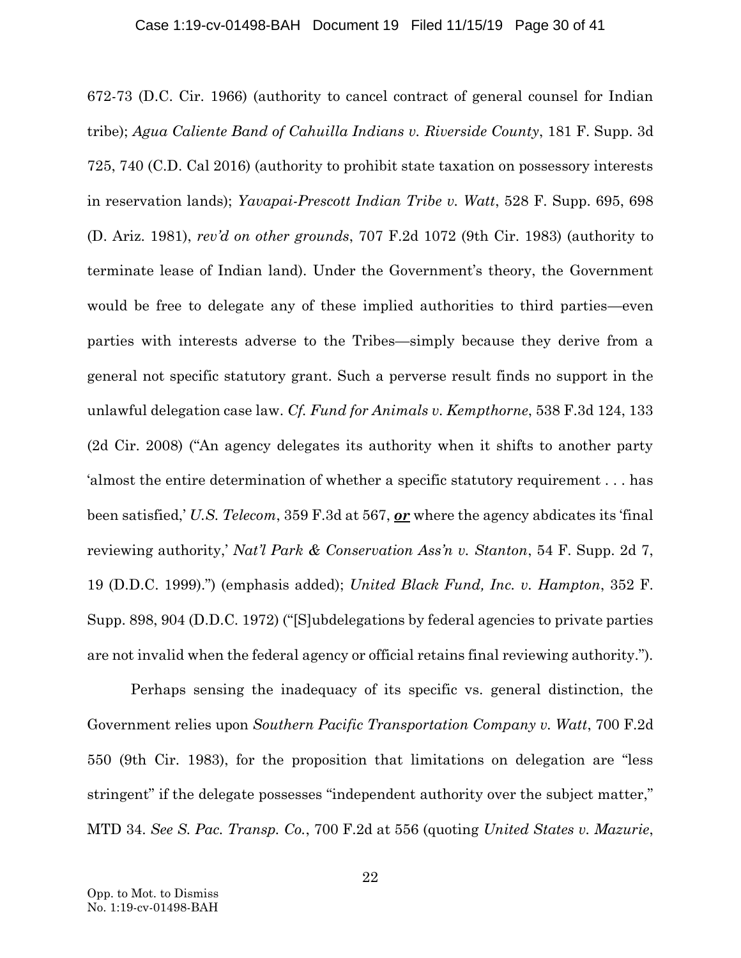### Case 1:19-cv-01498-BAH Document 19 Filed 11/15/19 Page 30 of 41

<span id="page-29-6"></span><span id="page-29-0"></span>672-73 (D.C. Cir. 1966) (authority to cancel contract of general counsel for Indian tribe); *Agua Caliente Band of Cahuilla Indians v. Riverside County*, 181 F. Supp. 3d 725, 740 (C.D. Cal 2016) (authority to prohibit state taxation on possessory interests in reservation lands); *Yavapai-Prescott Indian Tribe v. Watt*, 528 F. Supp. 695, 698 (D. Ariz. 1981), *rev'd on other grounds*, 707 F.2d 1072 (9th Cir. 1983) (authority to terminate lease of Indian land). Under the Government's theory, the Government would be free to delegate any of these implied authorities to third parties—even parties with interests adverse to the Tribes—simply because they derive from a general not specific statutory grant. Such a perverse result finds no support in the unlawful delegation case law. *Cf. Fund for Animals v. Kempthorne*, 538 F.3d 124, 133 (2d Cir. 2008) ("An agency delegates its authority when it shifts to another party 'almost the entire determination of whether a specific statutory requirement . . . has been satisfied,' *U.S. Telecom*, 359 F.3d at 567, *or* where the agency abdicates its 'final reviewing authority,' *Nat'l Park & Conservation Ass'n v. Stanton*, 54 F. Supp. 2d 7, 19 (D.D.C. 1999).") (emphasis added); *United Black Fund, Inc. v. Hampton*, 352 F. Supp. 898, 904 (D.D.C. 1972) ("[S]ubdelegations by federal agencies to private parties are not invalid when the federal agency or official retains final reviewing authority.").

<span id="page-29-5"></span><span id="page-29-4"></span><span id="page-29-3"></span><span id="page-29-2"></span><span id="page-29-1"></span>Perhaps sensing the inadequacy of its specific vs. general distinction, the Government relies upon *Southern Pacific Transportation Company v. Watt*, 700 F.2d 550 (9th Cir. 1983), for the proposition that limitations on delegation are "less stringent" if the delegate possesses "independent authority over the subject matter," MTD 34. *See S. Pac. Transp. Co.*, 700 F.2d at 556 (quoting *United States v. Mazurie*,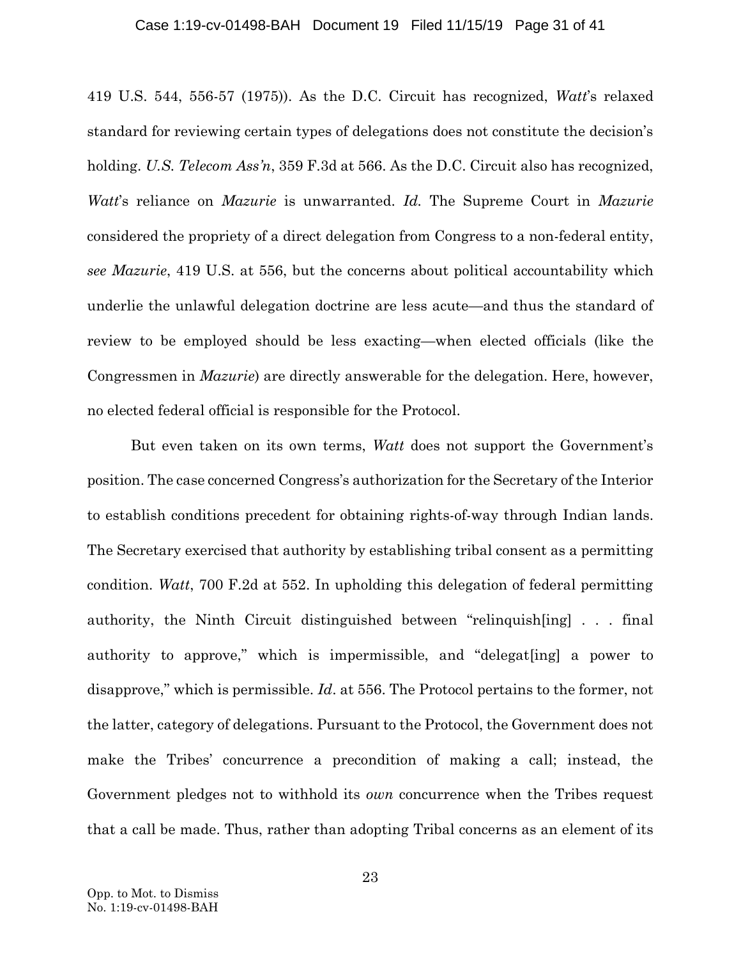#### Case 1:19-cv-01498-BAH Document 19 Filed 11/15/19 Page 31 of 41

<span id="page-30-1"></span>419 U.S. 544, 556-57 (1975)). As the D.C. Circuit has recognized, *Watt*'s relaxed standard for reviewing certain types of delegations does not constitute the decision's holding. *U.S. Telecom Ass'n*, 359 F.3d at 566. As the D.C. Circuit also has recognized, *Watt*'s reliance on *Mazurie* is unwarranted. *Id.* The Supreme Court in *Mazurie* considered the propriety of a direct delegation from Congress to a non-federal entity, *see Mazurie*, 419 U.S. at 556, but the concerns about political accountability which underlie the unlawful delegation doctrine are less acute—and thus the standard of review to be employed should be less exacting—when elected officials (like the Congressmen in *Mazurie*) are directly answerable for the delegation. Here, however, no elected federal official is responsible for the Protocol.

<span id="page-30-0"></span>But even taken on its own terms, *Watt* does not support the Government's position. The case concerned Congress's authorization for the Secretary of the Interior to establish conditions precedent for obtaining rights-of-way through Indian lands. The Secretary exercised that authority by establishing tribal consent as a permitting condition. *Watt*, 700 F.2d at 552. In upholding this delegation of federal permitting authority, the Ninth Circuit distinguished between "relinquish[ing] . . . final authority to approve," which is impermissible, and "delegat[ing] a power to disapprove," which is permissible. *Id*. at 556. The Protocol pertains to the former, not the latter, category of delegations. Pursuant to the Protocol, the Government does not make the Tribes' concurrence a precondition of making a call; instead, the Government pledges not to withhold its *own* concurrence when the Tribes request that a call be made. Thus, rather than adopting Tribal concerns as an element of its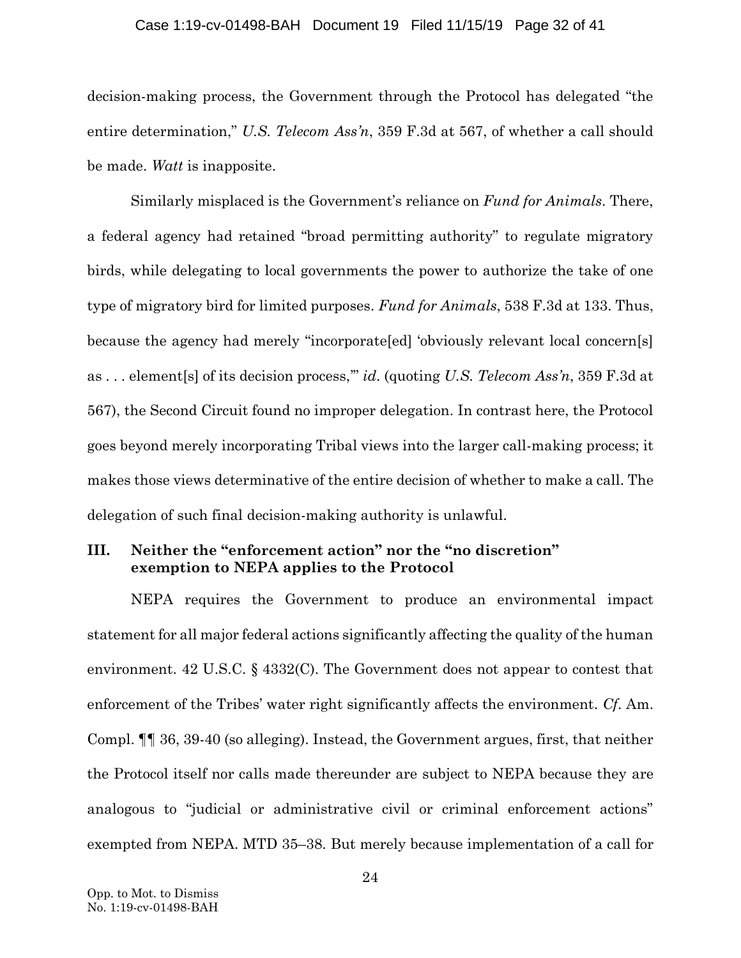### <span id="page-31-1"></span><span id="page-31-0"></span>Case 1:19-cv-01498-BAH Document 19 Filed 11/15/19 Page 32 of 41

decision-making process, the Government through the Protocol has delegated "the entire determination," *U.S. Telecom Ass'n*, 359 F.3d at 567, of whether a call should be made. *Watt* is inapposite.

Similarly misplaced is the Government's reliance on *Fund for Animals*. There, a federal agency had retained "broad permitting authority" to regulate migratory birds, while delegating to local governments the power to authorize the take of one type of migratory bird for limited purposes. *Fund for Animals*, 538 F.3d at 133. Thus, because the agency had merely "incorporate[ed] 'obviously relevant local concern[s] as . . . element[s] of its decision process,'" *id*. (quoting *U.S. Telecom Ass'n*, 359 F.3d at 567), the Second Circuit found no improper delegation. In contrast here, the Protocol goes beyond merely incorporating Tribal views into the larger call-making process; it makes those views determinative of the entire decision of whether to make a call. The delegation of such final decision-making authority is unlawful.

## **III. Neither the "enforcement action" nor the "no discretion" exemption to NEPA applies to the Protocol**

<span id="page-31-2"></span>NEPA requires the Government to produce an environmental impact statement for all major federal actions significantly affecting the quality of the human environment. 42 U.S.C. § 4332(C). The Government does not appear to contest that enforcement of the Tribes' water right significantly affects the environment. *Cf*. Am. Compl. ¶¶ 36, 39-40 (so alleging). Instead, the Government argues, first, that neither the Protocol itself nor calls made thereunder are subject to NEPA because they are analogous to "judicial or administrative civil or criminal enforcement actions" exempted from NEPA. MTD 35–38. But merely because implementation of a call for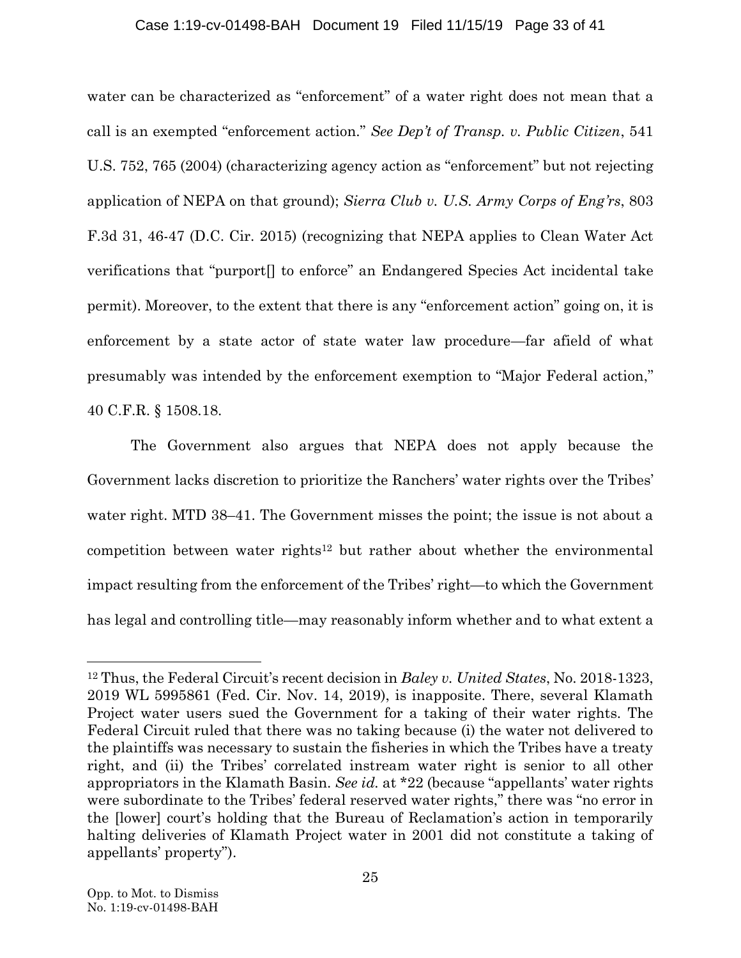## <span id="page-32-1"></span><span id="page-32-0"></span>Case 1:19-cv-01498-BAH Document 19 Filed 11/15/19 Page 33 of 41

water can be characterized as "enforcement" of a water right does not mean that a call is an exempted "enforcement action." *See Dep't of Transp. v. Public Citizen*, 541 U.S. 752, 765 (2004) (characterizing agency action as "enforcement" but not rejecting application of NEPA on that ground); *Sierra Club v. U.S. Army Corps of Eng'rs*, 803 F.3d 31, 46-47 (D.C. Cir. 2015) (recognizing that NEPA applies to Clean Water Act verifications that "purport[] to enforce" an Endangered Species Act incidental take permit). Moreover, to the extent that there is any "enforcement action" going on, it is enforcement by a state actor of state water law procedure—far afield of what presumably was intended by the enforcement exemption to "Major Federal action," 40 C.F.R. § 1508.18.

<span id="page-32-2"></span>The Government also argues that NEPA does not apply because the Government lacks discretion to prioritize the Ranchers' water rights over the Tribes' water right. MTD 38–41. The Government misses the point; the issue is not about a competition between water rights<sup>12</sup> but rather about whether the environmental impact resulting from the enforcement of the Tribes' right—to which the Government has legal and controlling title—may reasonably inform whether and to what extent a

<sup>12</sup> Thus, the Federal Circuit's recent decision in *Baley v. United States*, No. 2018-1323, 2019 WL 5995861 (Fed. Cir. Nov. 14, 2019), is inapposite. There, several Klamath Project water users sued the Government for a taking of their water rights. The Federal Circuit ruled that there was no taking because (i) the water not delivered to the plaintiffs was necessary to sustain the fisheries in which the Tribes have a treaty right, and (ii) the Tribes' correlated instream water right is senior to all other appropriators in the Klamath Basin. *See id.* at \*22 (because "appellants' water rights were subordinate to the Tribes' federal reserved water rights," there was "no error in the [lower] court's holding that the Bureau of Reclamation's action in temporarily halting deliveries of Klamath Project water in 2001 did not constitute a taking of appellants' property").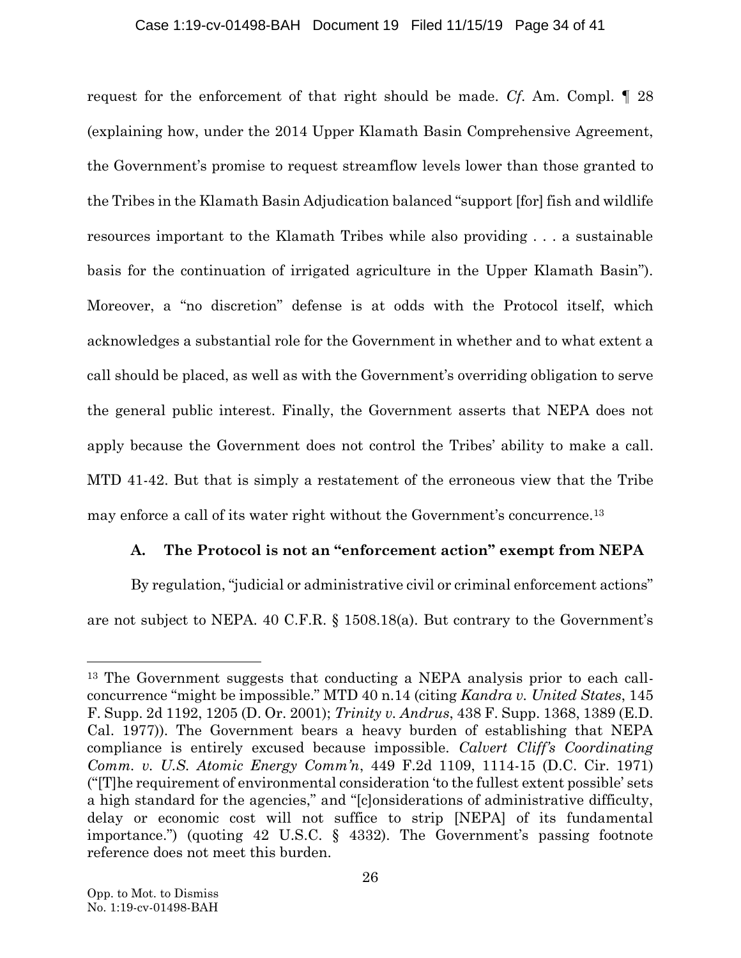### Case 1:19-cv-01498-BAH Document 19 Filed 11/15/19 Page 34 of 41

request for the enforcement of that right should be made. *Cf*. Am. Compl. ¶ 28 (explaining how, under the 2014 Upper Klamath Basin Comprehensive Agreement, the Government's promise to request streamflow levels lower than those granted to the Tribes in the Klamath Basin Adjudication balanced "support [for] fish and wildlife resources important to the Klamath Tribes while also providing . . . a sustainable basis for the continuation of irrigated agriculture in the Upper Klamath Basin"). Moreover, a "no discretion" defense is at odds with the Protocol itself, which acknowledges a substantial role for the Government in whether and to what extent a call should be placed, as well as with the Government's overriding obligation to serve the general public interest. Finally, the Government asserts that NEPA does not apply because the Government does not control the Tribes' ability to make a call. MTD 41-42. But that is simply a restatement of the erroneous view that the Tribe may enforce a call of its water right without the Government's concurrence. 13

## <span id="page-33-4"></span><span id="page-33-1"></span>**A. The Protocol is not an "enforcement action" exempt from NEPA**

By regulation, "judicial or administrative civil or criminal enforcement actions" are not subject to NEPA. 40 C.F.R. § 1508.18(a). But contrary to the Government's

<span id="page-33-3"></span><span id="page-33-2"></span><span id="page-33-0"></span><sup>13</sup> The Government suggests that conducting a NEPA analysis prior to each callconcurrence "might be impossible." MTD 40 n.14 (citing *Kandra v. United States*, 145 F. Supp. 2d 1192, 1205 (D. Or. 2001); *Trinity v. Andrus*, 438 F. Supp. 1368, 1389 (E.D. Cal. 1977)). The Government bears a heavy burden of establishing that NEPA compliance is entirely excused because impossible. *Calvert Cliff's Coordinating Comm. v. U.S. Atomic Energy Comm'n*, 449 F.2d 1109, 1114-15 (D.C. Cir. 1971) ("[T]he requirement of environmental consideration 'to the fullest extent possible' sets a high standard for the agencies," and "[c]onsiderations of administrative difficulty, delay or economic cost will not suffice to strip [NEPA] of its fundamental importance.") (quoting 42 U.S.C. § 4332). The Government's passing footnote reference does not meet this burden.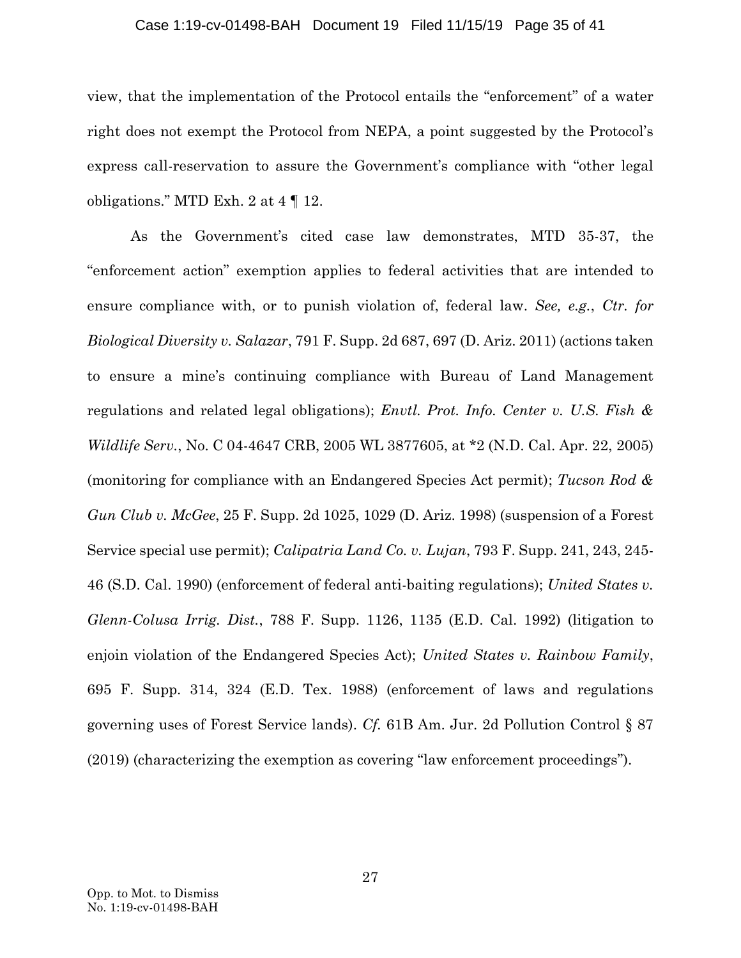### Case 1:19-cv-01498-BAH Document 19 Filed 11/15/19 Page 35 of 41

view, that the implementation of the Protocol entails the "enforcement" of a water right does not exempt the Protocol from NEPA, a point suggested by the Protocol's express call-reservation to assure the Government's compliance with "other legal obligations." MTD Exh. 2 at 4 ¶ 12.

<span id="page-34-6"></span><span id="page-34-5"></span><span id="page-34-4"></span><span id="page-34-3"></span><span id="page-34-2"></span><span id="page-34-1"></span><span id="page-34-0"></span>As the Government's cited case law demonstrates, MTD 35-37, the "enforcement action" exemption applies to federal activities that are intended to ensure compliance with, or to punish violation of, federal law. *See, e.g.*, *Ctr. for Biological Diversity v. Salazar*, 791 F. Supp. 2d 687, 697 (D. Ariz. 2011) (actions taken to ensure a mine's continuing compliance with Bureau of Land Management regulations and related legal obligations); *Envtl. Prot. Info. Center v. U.S. Fish & Wildlife Serv.*, No. C 04-4647 CRB, 2005 WL 3877605, at \*2 (N.D. Cal. Apr. 22, 2005) (monitoring for compliance with an Endangered Species Act permit); *Tucson Rod & Gun Club v. McGee*, 25 F. Supp. 2d 1025, 1029 (D. Ariz. 1998) (suspension of a Forest Service special use permit); *Calipatria Land Co. v. Lujan*, 793 F. Supp. 241, 243, 245- 46 (S.D. Cal. 1990) (enforcement of federal anti-baiting regulations); *United States v. Glenn-Colusa Irrig. Dist.*, 788 F. Supp. 1126, 1135 (E.D. Cal. 1992) (litigation to enjoin violation of the Endangered Species Act); *United States v. Rainbow Family*, 695 F. Supp. 314, 324 (E.D. Tex. 1988) (enforcement of laws and regulations governing uses of Forest Service lands). *Cf.* 61B Am. Jur. 2d Pollution Control § 87 (2019) (characterizing the exemption as covering "law enforcement proceedings").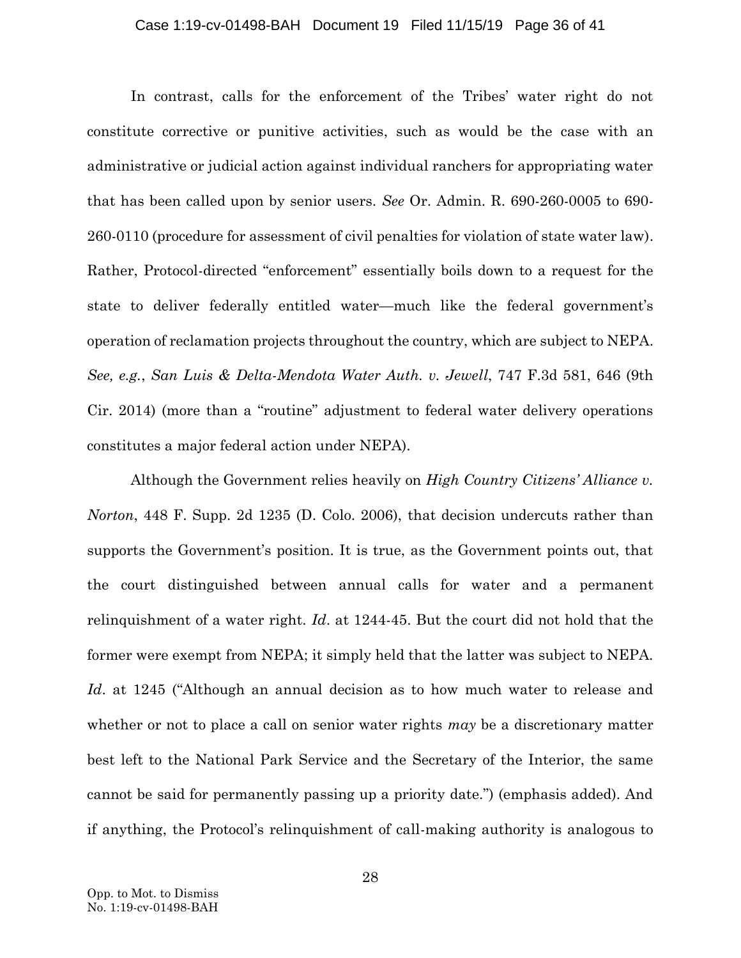#### <span id="page-35-2"></span>Case 1:19-cv-01498-BAH Document 19 Filed 11/15/19 Page 36 of 41

In contrast, calls for the enforcement of the Tribes' water right do not constitute corrective or punitive activities, such as would be the case with an administrative or judicial action against individual ranchers for appropriating water that has been called upon by senior users. *See* Or. Admin. R. 690-260-0005 to 690- 260-0110 (procedure for assessment of civil penalties for violation of state water law). Rather, Protocol-directed "enforcement" essentially boils down to a request for the state to deliver federally entitled water—much like the federal government's operation of reclamation projects throughout the country, which are subject to NEPA. *See, e.g.*, *San Luis & Delta-Mendota Water Auth. v. Jewell*, 747 F.3d 581, 646 (9th Cir. 2014) (more than a "routine" adjustment to federal water delivery operations constitutes a major federal action under NEPA).

<span id="page-35-1"></span><span id="page-35-0"></span>Although the Government relies heavily on *High Country Citizens' Alliance v. Norton*, 448 F. Supp. 2d 1235 (D. Colo. 2006), that decision undercuts rather than supports the Government's position. It is true, as the Government points out, that the court distinguished between annual calls for water and a permanent relinquishment of a water right. *Id*. at 1244-45. But the court did not hold that the former were exempt from NEPA; it simply held that the latter was subject to NEPA. *Id*. at 1245 ("Although an annual decision as to how much water to release and whether or not to place a call on senior water rights *may* be a discretionary matter best left to the National Park Service and the Secretary of the Interior, the same cannot be said for permanently passing up a priority date.") (emphasis added). And if anything, the Protocol's relinquishment of call-making authority is analogous to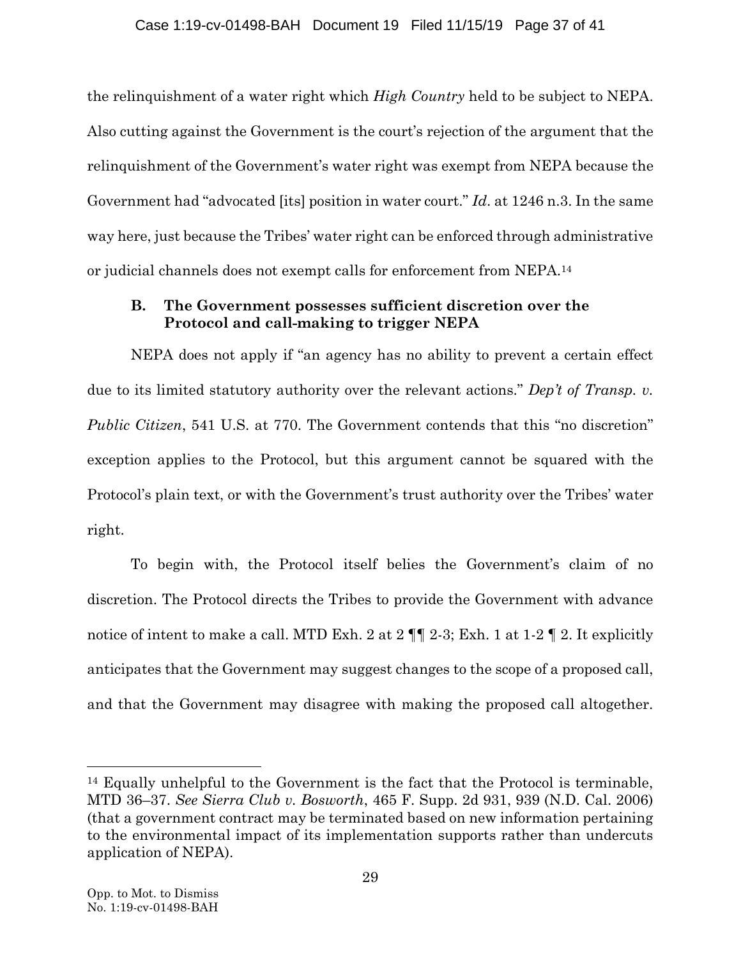the relinquishment of a water right which *High Country* held to be subject to NEPA. Also cutting against the Government is the court's rejection of the argument that the relinquishment of the Government's water right was exempt from NEPA because the Government had "advocated [its] position in water court." *Id*. at 1246 n.3. In the same way here, just because the Tribes' water right can be enforced through administrative or judicial channels does not exempt calls for enforcement from NEPA.<sup>14</sup>

## <span id="page-36-0"></span>**B. The Government possesses sufficient discretion over the Protocol and call-making to trigger NEPA**

NEPA does not apply if "an agency has no ability to prevent a certain effect due to its limited statutory authority over the relevant actions." *Dep't of Transp. v. Public Citizen*, 541 U.S. at 770. The Government contends that this "no discretion" exception applies to the Protocol, but this argument cannot be squared with the Protocol's plain text, or with the Government's trust authority over the Tribes' water right.

To begin with, the Protocol itself belies the Government's claim of no discretion. The Protocol directs the Tribes to provide the Government with advance notice of intent to make a call. MTD Exh. 2 at 2 ¶¶ 2-3; Exh. 1 at 1-2 ¶ 2. It explicitly anticipates that the Government may suggest changes to the scope of a proposed call, and that the Government may disagree with making the proposed call altogether.

<span id="page-36-1"></span><sup>14</sup> Equally unhelpful to the Government is the fact that the Protocol is terminable, MTD 36–37. *See Sierra Club v. Bosworth*, 465 F. Supp. 2d 931, 939 (N.D. Cal. 2006) (that a government contract may be terminated based on new information pertaining to the environmental impact of its implementation supports rather than undercuts application of NEPA).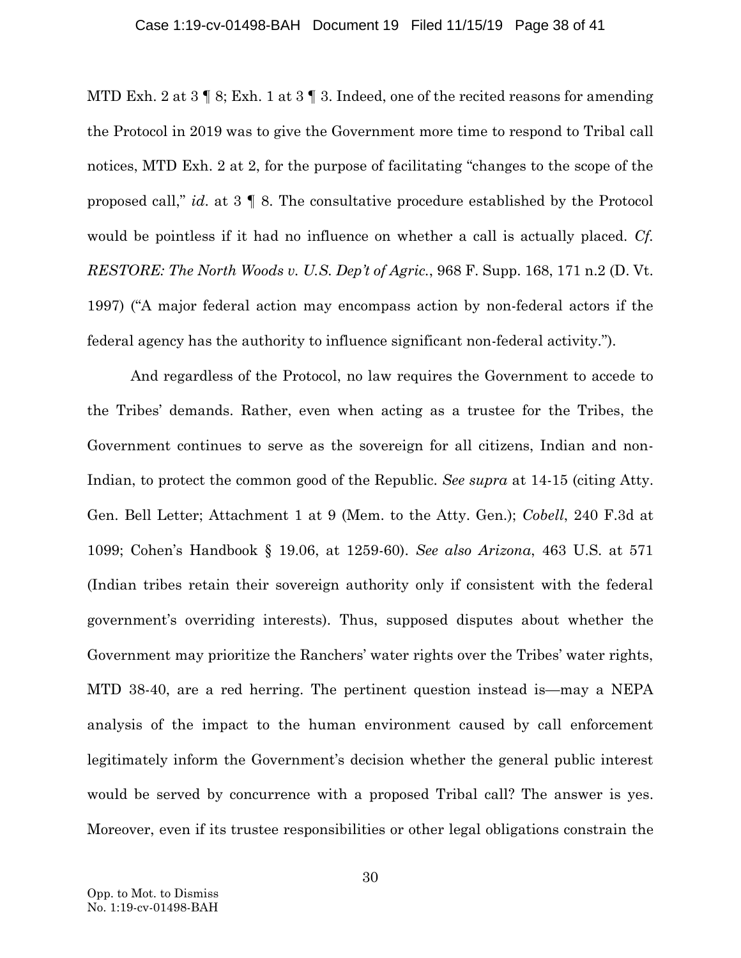#### Case 1:19-cv-01498-BAH Document 19 Filed 11/15/19 Page 38 of 41

MTD Exh. 2 at  $3 \nparallel 8$ ; Exh. 1 at  $3 \nparallel 3$ . Indeed, one of the recited reasons for amending the Protocol in 2019 was to give the Government more time to respond to Tribal call notices, MTD Exh. 2 at 2, for the purpose of facilitating "changes to the scope of the proposed call," *id*. at 3 ¶ 8. The consultative procedure established by the Protocol would be pointless if it had no influence on whether a call is actually placed. *Cf. RESTORE: The North Woods v. U.S. Dep't of Agric.*, 968 F. Supp. 168, 171 n.2 (D. Vt. 1997) ("A major federal action may encompass action by non-federal actors if the federal agency has the authority to influence significant non-federal activity.").

<span id="page-37-0"></span>And regardless of the Protocol, no law requires the Government to accede to the Tribes' demands. Rather, even when acting as a trustee for the Tribes, the Government continues to serve as the sovereign for all citizens, Indian and non-Indian, to protect the common good of the Republic. *See supra* at 14-15 (citing Atty. Gen. Bell Letter; Attachment 1 at 9 (Mem. to the Atty. Gen.); *Cobell*, 240 F.3d at 1099; Cohen's Handbook § 19.06, at 1259-60). *See also Arizona*, 463 U.S. at 571 (Indian tribes retain their sovereign authority only if consistent with the federal government's overriding interests). Thus, supposed disputes about whether the Government may prioritize the Ranchers' water rights over the Tribes' water rights, MTD 38-40, are a red herring. The pertinent question instead is—may a NEPA analysis of the impact to the human environment caused by call enforcement legitimately inform the Government's decision whether the general public interest would be served by concurrence with a proposed Tribal call? The answer is yes. Moreover, even if its trustee responsibilities or other legal obligations constrain the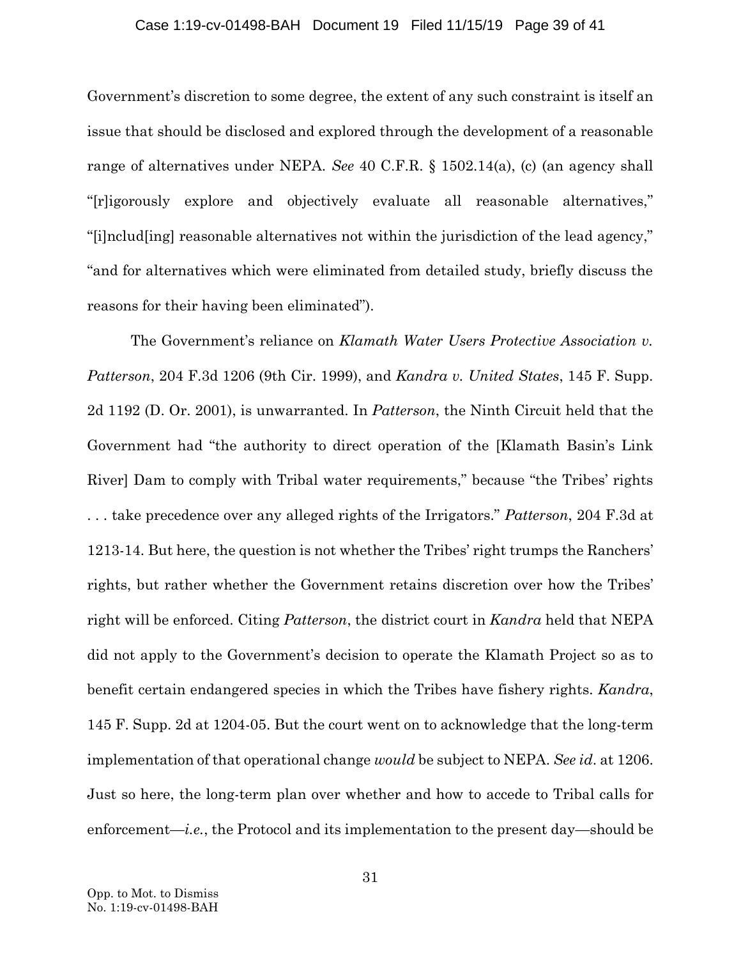### <span id="page-38-2"></span>Case 1:19-cv-01498-BAH Document 19 Filed 11/15/19 Page 39 of 41

Government's discretion to some degree, the extent of any such constraint is itself an issue that should be disclosed and explored through the development of a reasonable range of alternatives under NEPA. *See* 40 C.F.R. § 1502.14(a), (c) (an agency shall "[r]igorously explore and objectively evaluate all reasonable alternatives," "[i]nclud[ing] reasonable alternatives not within the jurisdiction of the lead agency," "and for alternatives which were eliminated from detailed study, briefly discuss the reasons for their having been eliminated").

<span id="page-38-1"></span><span id="page-38-0"></span>The Government's reliance on *Klamath Water Users Protective Association v. Patterson*, 204 F.3d 1206 (9th Cir. 1999), and *Kandra v. United States*, 145 F. Supp. 2d 1192 (D. Or. 2001), is unwarranted. In *Patterson*, the Ninth Circuit held that the Government had "the authority to direct operation of the [Klamath Basin's Link River] Dam to comply with Tribal water requirements," because "the Tribes' rights . . . take precedence over any alleged rights of the Irrigators." *Patterson*, 204 F.3d at 1213-14. But here, the question is not whether the Tribes' right trumps the Ranchers' rights, but rather whether the Government retains discretion over how the Tribes' right will be enforced. Citing *Patterson*, the district court in *Kandra* held that NEPA did not apply to the Government's decision to operate the Klamath Project so as to benefit certain endangered species in which the Tribes have fishery rights. *Kandra*, 145 F. Supp. 2d at 1204-05. But the court went on to acknowledge that the long-term implementation of that operational change *would* be subject to NEPA. *See id*. at 1206. Just so here, the long-term plan over whether and how to accede to Tribal calls for enforcement—*i.e.*, the Protocol and its implementation to the present day—should be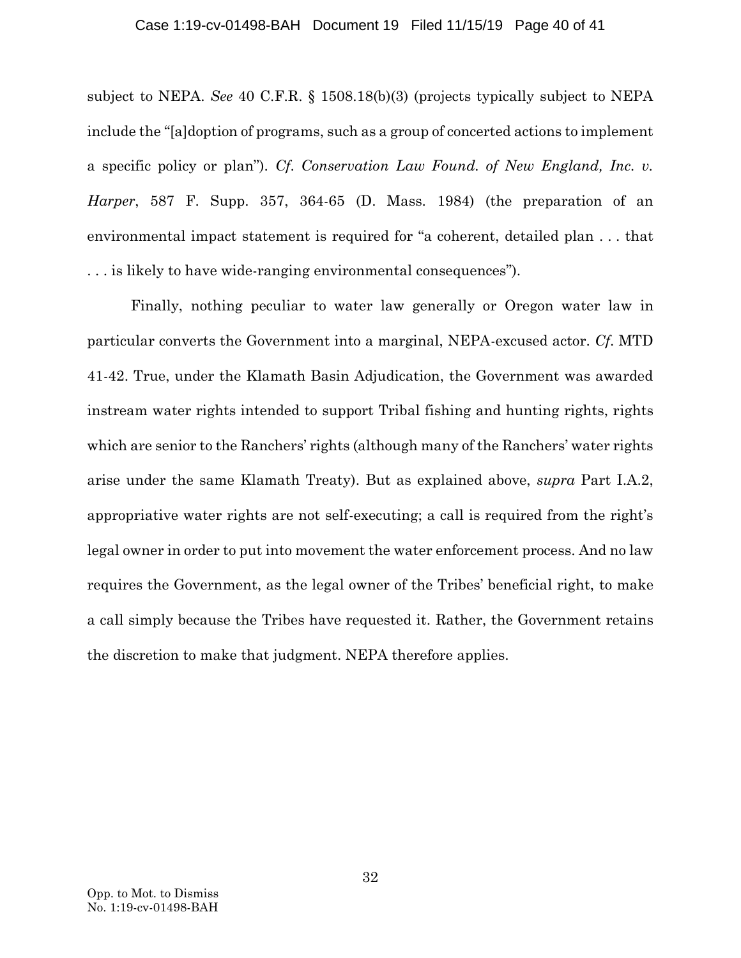### <span id="page-39-1"></span><span id="page-39-0"></span>Case 1:19-cv-01498-BAH Document 19 Filed 11/15/19 Page 40 of 41

subject to NEPA. *See* 40 C.F.R. § 1508.18(b)(3) (projects typically subject to NEPA include the "[a]doption of programs, such as a group of concerted actions to implement a specific policy or plan"). *Cf*. *Conservation Law Found. of New England, Inc. v. Harper*, 587 F. Supp. 357, 364-65 (D. Mass. 1984) (the preparation of an environmental impact statement is required for "a coherent, detailed plan . . . that . . . is likely to have wide-ranging environmental consequences").

Finally, nothing peculiar to water law generally or Oregon water law in particular converts the Government into a marginal, NEPA-excused actor. *Cf*. MTD 41-42. True, under the Klamath Basin Adjudication, the Government was awarded instream water rights intended to support Tribal fishing and hunting rights, rights which are senior to the Ranchers' rights (although many of the Ranchers' water rights arise under the same Klamath Treaty). But as explained above, *supra* Part I.A.2, appropriative water rights are not self-executing; a call is required from the right's legal owner in order to put into movement the water enforcement process. And no law requires the Government, as the legal owner of the Tribes' beneficial right, to make a call simply because the Tribes have requested it. Rather, the Government retains the discretion to make that judgment. NEPA therefore applies.